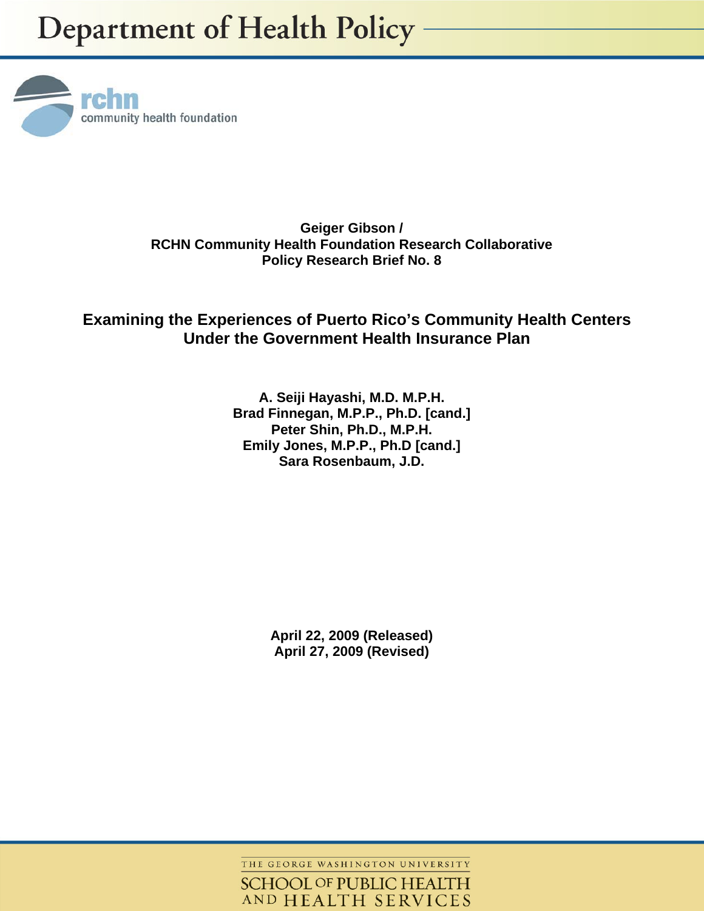

**Geiger Gibson / RCHN Community Health Foundation Research Collaborative Policy Research Brief No. 8** 

# **Examining the Experiences of Puerto Rico's Community Health Centers Under the Government Health Insurance Plan**

**A. Seiji Hayashi, M.D. M.P.H. Brad Finnegan, M.P.P., Ph.D. [cand.] Peter Shin, Ph.D., M.P.H. Emily Jones, M.P.P., Ph.D [cand.] Sara Rosenbaum, J.D.** 

> **April 22, 2009 (Released) April 27, 2009 (Revised)**

THE GEORGE WASHINGTON UNIVERSITY

**SCHOOL OF PUBLIC HEALTH** AND HEALTH SERVICES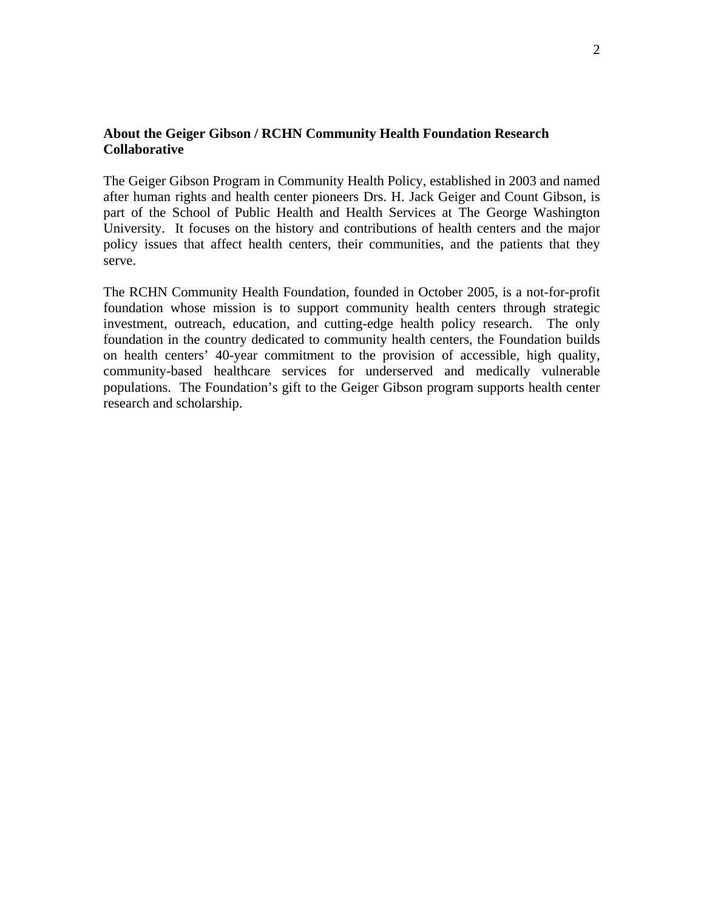#### **About the Geiger Gibson / RCHN Community Health Foundation Research Collaborative**

The Geiger Gibson Program in Community Health Policy, established in 2003 and named after human rights and health center pioneers Drs. H. Jack Geiger and Count Gibson, is part of the School of Public Health and Health Services at The George Washington University. It focuses on the history and contributions of health centers and the major policy issues that affect health centers, their communities, and the patients that they serve.

The RCHN Community Health Foundation, founded in October 2005, is a not-for-profit foundation whose mission is to support community health centers through strategic investment, outreach, education, and cutting-edge health policy research. The only foundation in the country dedicated to community health centers, the Foundation builds on health centers' 40-year commitment to the provision of accessible, high quality, community-based healthcare services for underserved and medically vulnerable populations. The Foundation's gift to the Geiger Gibson program supports health center research and scholarship.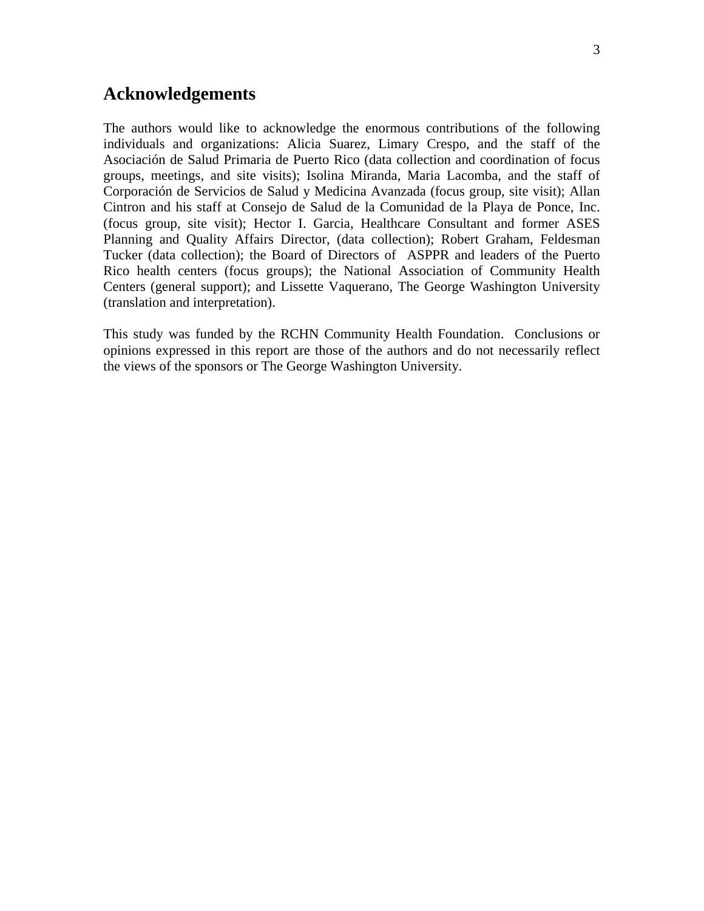# **Acknowledgements**

The authors would like to acknowledge the enormous contributions of the following individuals and organizations: Alicia Suarez, Limary Crespo, and the staff of the Asociación de Salud Primaria de Puerto Rico (data collection and coordination of focus groups, meetings, and site visits); Isolina Miranda, Maria Lacomba, and the staff of Corporación de Servicios de Salud y Medicina Avanzada (focus group, site visit); Allan Cintron and his staff at Consejo de Salud de la Comunidad de la Playa de Ponce, Inc. (focus group, site visit); Hector I. Garcia, Healthcare Consultant and former ASES Planning and Quality Affairs Director, (data collection); Robert Graham, Feldesman Tucker (data collection); the Board of Directors of ASPPR and leaders of the Puerto Rico health centers (focus groups); the National Association of Community Health Centers (general support); and Lissette Vaquerano, The George Washington University (translation and interpretation).

This study was funded by the RCHN Community Health Foundation. Conclusions or opinions expressed in this report are those of the authors and do not necessarily reflect the views of the sponsors or The George Washington University.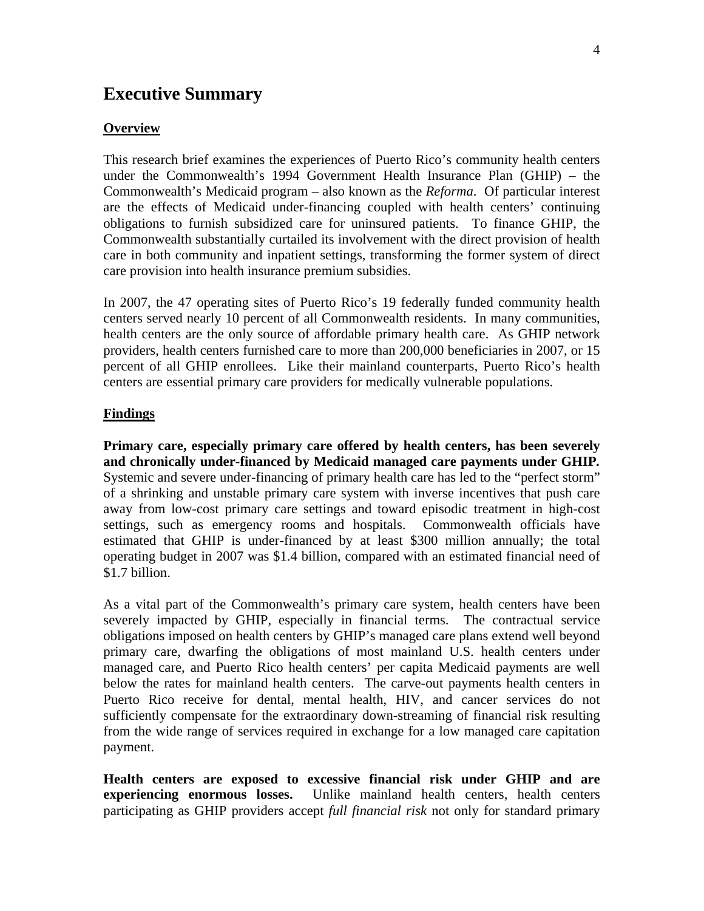# **Executive Summary**

#### **Overview**

This research brief examines the experiences of Puerto Rico's community health centers under the Commonwealth's 1994 Government Health Insurance Plan (GHIP) – the Commonwealth's Medicaid program – also known as the *Reforma*. Of particular interest are the effects of Medicaid under-financing coupled with health centers' continuing obligations to furnish subsidized care for uninsured patients. To finance GHIP, the Commonwealth substantially curtailed its involvement with the direct provision of health care in both community and inpatient settings, transforming the former system of direct care provision into health insurance premium subsidies.

In 2007, the 47 operating sites of Puerto Rico's 19 federally funded community health centers served nearly 10 percent of all Commonwealth residents. In many communities, health centers are the only source of affordable primary health care. As GHIP network providers, health centers furnished care to more than 200,000 beneficiaries in 2007, or 15 percent of all GHIP enrollees. Like their mainland counterparts, Puerto Rico's health centers are essential primary care providers for medically vulnerable populations.

#### **Findings**

**Primary care, especially primary care offered by health centers, has been severely and chronically under-financed by Medicaid managed care payments under GHIP***.*  Systemic and severe under-financing of primary health care has led to the "perfect storm" of a shrinking and unstable primary care system with inverse incentives that push care away from low-cost primary care settings and toward episodic treatment in high-cost settings, such as emergency rooms and hospitals. Commonwealth officials have estimated that GHIP is under-financed by at least \$300 million annually; the total operating budget in 2007 was \$1.4 billion, compared with an estimated financial need of \$1.7 billion.

As a vital part of the Commonwealth's primary care system, health centers have been severely impacted by GHIP, especially in financial terms. The contractual service obligations imposed on health centers by GHIP's managed care plans extend well beyond primary care, dwarfing the obligations of most mainland U.S. health centers under managed care, and Puerto Rico health centers' per capita Medicaid payments are well below the rates for mainland health centers. The carve-out payments health centers in Puerto Rico receive for dental, mental health, HIV, and cancer services do not sufficiently compensate for the extraordinary down-streaming of financial risk resulting from the wide range of services required in exchange for a low managed care capitation payment.

**Health centers are exposed to excessive financial risk under GHIP and are experiencing enormous losses.** Unlike mainland health centers, health centers participating as GHIP providers accept *full financial risk* not only for standard primary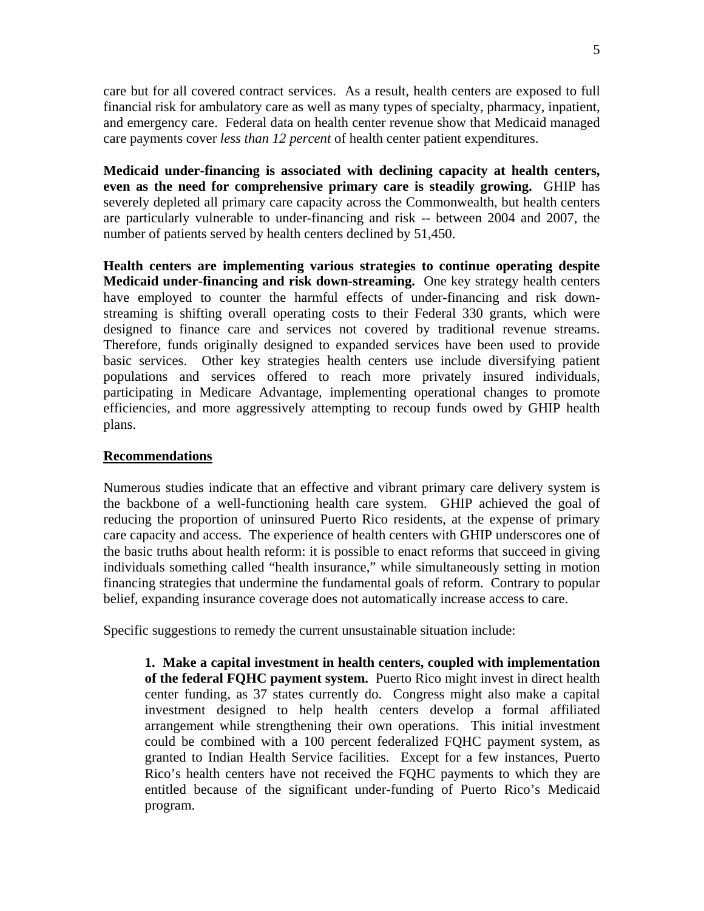care but for all covered contract services. As a result, health centers are exposed to full financial risk for ambulatory care as well as many types of specialty, pharmacy, inpatient, and emergency care. Federal data on health center revenue show that Medicaid managed care payments cover *less than 12 percent* of health center patient expenditures.

**Medicaid under-financing is associated with declining capacity at health centers, even as the need for comprehensive primary care is steadily growing.** GHIP has severely depleted all primary care capacity across the Commonwealth, but health centers are particularly vulnerable to under-financing and risk -- between 2004 and 2007, the number of patients served by health centers declined by 51,450.

**Health centers are implementing various strategies to continue operating despite Medicaid under-financing and risk down-streaming.** One key strategy health centers have employed to counter the harmful effects of under-financing and risk downstreaming is shifting overall operating costs to their Federal 330 grants, which were designed to finance care and services not covered by traditional revenue streams. Therefore, funds originally designed to expanded services have been used to provide basic services. Other key strategies health centers use include diversifying patient populations and services offered to reach more privately insured individuals, participating in Medicare Advantage, implementing operational changes to promote efficiencies, and more aggressively attempting to recoup funds owed by GHIP health plans.

#### **Recommendations**

Numerous studies indicate that an effective and vibrant primary care delivery system is the backbone of a well-functioning health care system. GHIP achieved the goal of reducing the proportion of uninsured Puerto Rico residents, at the expense of primary care capacity and access. The experience of health centers with GHIP underscores one of the basic truths about health reform: it is possible to enact reforms that succeed in giving individuals something called "health insurance," while simultaneously setting in motion financing strategies that undermine the fundamental goals of reform. Contrary to popular belief, expanding insurance coverage does not automatically increase access to care.

Specific suggestions to remedy the current unsustainable situation include:

**1. Make a capital investment in health centers, coupled with implementation of the federal FQHC payment system.** Puerto Rico might invest in direct health center funding, as 37 states currently do. Congress might also make a capital investment designed to help health centers develop a formal affiliated arrangement while strengthening their own operations. This initial investment could be combined with a 100 percent federalized FQHC payment system, as granted to Indian Health Service facilities. Except for a few instances, Puerto Rico's health centers have not received the FQHC payments to which they are entitled because of the significant under-funding of Puerto Rico's Medicaid program.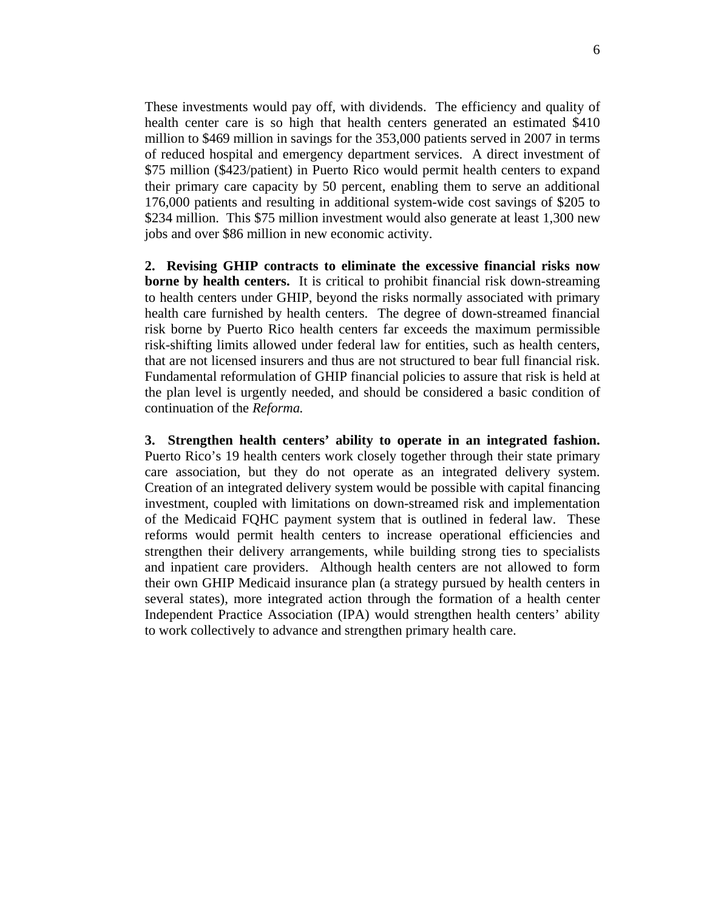These investments would pay off, with dividends. The efficiency and quality of health center care is so high that health centers generated an estimated \$410 million to \$469 million in savings for the 353,000 patients served in 2007 in terms of reduced hospital and emergency department services. A direct investment of \$75 million (\$423/patient) in Puerto Rico would permit health centers to expand their primary care capacity by 50 percent, enabling them to serve an additional 176,000 patients and resulting in additional system-wide cost savings of \$205 to \$234 million. This \$75 million investment would also generate at least 1,300 new jobs and over \$86 million in new economic activity.

**2. Revising GHIP contracts to eliminate the excessive financial risks now borne by health centers.** It is critical to prohibit financial risk down-streaming to health centers under GHIP, beyond the risks normally associated with primary health care furnished by health centers. The degree of down-streamed financial risk borne by Puerto Rico health centers far exceeds the maximum permissible risk-shifting limits allowed under federal law for entities, such as health centers, that are not licensed insurers and thus are not structured to bear full financial risk. Fundamental reformulation of GHIP financial policies to assure that risk is held at the plan level is urgently needed, and should be considered a basic condition of continuation of the *Reforma.* 

**3. Strengthen health centers' ability to operate in an integrated fashion.**  Puerto Rico's 19 health centers work closely together through their state primary care association, but they do not operate as an integrated delivery system. Creation of an integrated delivery system would be possible with capital financing investment, coupled with limitations on down-streamed risk and implementation of the Medicaid FQHC payment system that is outlined in federal law. These reforms would permit health centers to increase operational efficiencies and strengthen their delivery arrangements, while building strong ties to specialists and inpatient care providers. Although health centers are not allowed to form their own GHIP Medicaid insurance plan (a strategy pursued by health centers in several states), more integrated action through the formation of a health center Independent Practice Association (IPA) would strengthen health centers' ability to work collectively to advance and strengthen primary health care.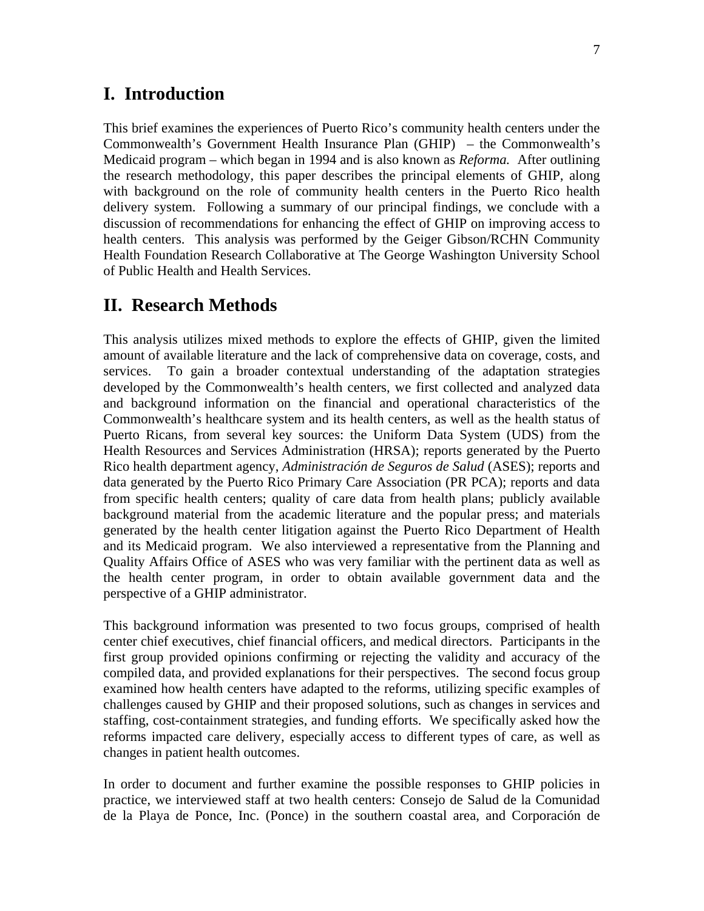# **I. Introduction**

This brief examines the experiences of Puerto Rico's community health centers under the Commonwealth's Government Health Insurance Plan (GHIP) – the Commonwealth's Medicaid program – which began in 1994 and is also known as *Reforma.* After outlining the research methodology, this paper describes the principal elements of GHIP, along with background on the role of community health centers in the Puerto Rico health delivery system. Following a summary of our principal findings, we conclude with a discussion of recommendations for enhancing the effect of GHIP on improving access to health centers. This analysis was performed by the Geiger Gibson/RCHN Community Health Foundation Research Collaborative at The George Washington University School of Public Health and Health Services.

## **II. Research Methods**

This analysis utilizes mixed methods to explore the effects of GHIP, given the limited amount of available literature and the lack of comprehensive data on coverage, costs, and services. To gain a broader contextual understanding of the adaptation strategies developed by the Commonwealth's health centers, we first collected and analyzed data and background information on the financial and operational characteristics of the Commonwealth's healthcare system and its health centers, as well as the health status of Puerto Ricans, from several key sources: the Uniform Data System (UDS) from the Health Resources and Services Administration (HRSA); reports generated by the Puerto Rico health department agency, *Administración de Seguros de Salud* (ASES); reports and data generated by the Puerto Rico Primary Care Association (PR PCA); reports and data from specific health centers; quality of care data from health plans; publicly available background material from the academic literature and the popular press; and materials generated by the health center litigation against the Puerto Rico Department of Health and its Medicaid program. We also interviewed a representative from the Planning and Quality Affairs Office of ASES who was very familiar with the pertinent data as well as the health center program, in order to obtain available government data and the perspective of a GHIP administrator.

This background information was presented to two focus groups, comprised of health center chief executives, chief financial officers, and medical directors. Participants in the first group provided opinions confirming or rejecting the validity and accuracy of the compiled data, and provided explanations for their perspectives. The second focus group examined how health centers have adapted to the reforms, utilizing specific examples of challenges caused by GHIP and their proposed solutions, such as changes in services and staffing, cost-containment strategies, and funding efforts. We specifically asked how the reforms impacted care delivery, especially access to different types of care, as well as changes in patient health outcomes.

In order to document and further examine the possible responses to GHIP policies in practice, we interviewed staff at two health centers: Consejo de Salud de la Comunidad de la Playa de Ponce, Inc. (Ponce) in the southern coastal area, and Corporación de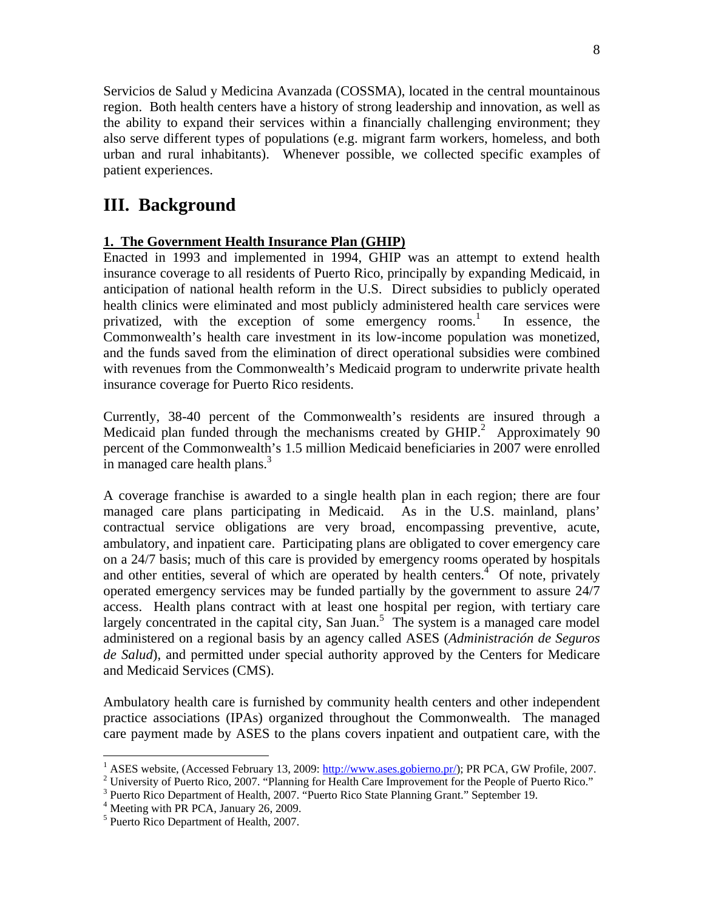Servicios de Salud y Medicina Avanzada (COSSMA), located in the central mountainous region. Both health centers have a history of strong leadership and innovation, as well as the ability to expand their services within a financially challenging environment; they also serve different types of populations (e.g. migrant farm workers, homeless, and both urban and rural inhabitants). Whenever possible, we collected specific examples of patient experiences.

# **III. Background**

### **1. The Government Health Insurance Plan (GHIP)**

Enacted in 1993 and implemented in 1994, GHIP was an attempt to extend health insurance coverage to all residents of Puerto Rico, principally by expanding Medicaid, in anticipation of national health reform in the U.S. Direct subsidies to publicly operated health clinics were eliminated and most publicly administered health care services were privatized, with the exception of some emergency rooms.<sup>1</sup> In essence, the Commonwealth's health care investment in its low-income population was monetized, and the funds saved from the elimination of direct operational subsidies were combined with revenues from the Commonwealth's Medicaid program to underwrite private health insurance coverage for Puerto Rico residents.

Currently, 38-40 percent of the Commonwealth's residents are insured through a Medicaid plan funded through the mechanisms created by  $GHIP<sup>2</sup>$  Approximately 90 percent of the Commonwealth's 1.5 million Medicaid beneficiaries in 2007 were enrolled in managed care health plans.<sup>3</sup>

A coverage franchise is awarded to a single health plan in each region; there are four managed care plans participating in Medicaid. As in the U.S. mainland, plans' contractual service obligations are very broad, encompassing preventive, acute, ambulatory, and inpatient care. Participating plans are obligated to cover emergency care on a 24/7 basis; much of this care is provided by emergency rooms operated by hospitals and other entities, several of which are operated by health centers. $4$  Of note, privately operated emergency services may be funded partially by the government to assure 24/7 access. Health plans contract with at least one hospital per region, with tertiary care largely concentrated in the capital city, San Juan.<sup>5</sup> The system is a managed care model administered on a regional basis by an agency called ASES (*Administración de Seguros de Salud*), and permitted under special authority approved by the Centers for Medicare and Medicaid Services (CMS).

Ambulatory health care is furnished by community health centers and other independent practice associations (IPAs) organized throughout the Commonwealth. The managed care payment made by ASES to the plans covers inpatient and outpatient care, with the

<sup>&</sup>lt;sup>1</sup> ASES website, (Accessed February 13, 2009:  $\frac{http://www.ases.govoirno.pr/)}{http://www.ases.govoirno.pr/)}$ ; PR PCA, GW Profile, 2007.

<sup>&</sup>lt;sup>2</sup> University of Puerto Rico, 2007. "Planning for Health Care Improvement for the People of Puerto Rico."

<sup>&</sup>lt;sup>3</sup> Puerto Rico Department of Health, 2007. "Puerto Rico State Planning Grant." September 19.

 $4$  Meeting with PR PCA, January 26, 2009.

<sup>5</sup> Puerto Rico Department of Health, 2007.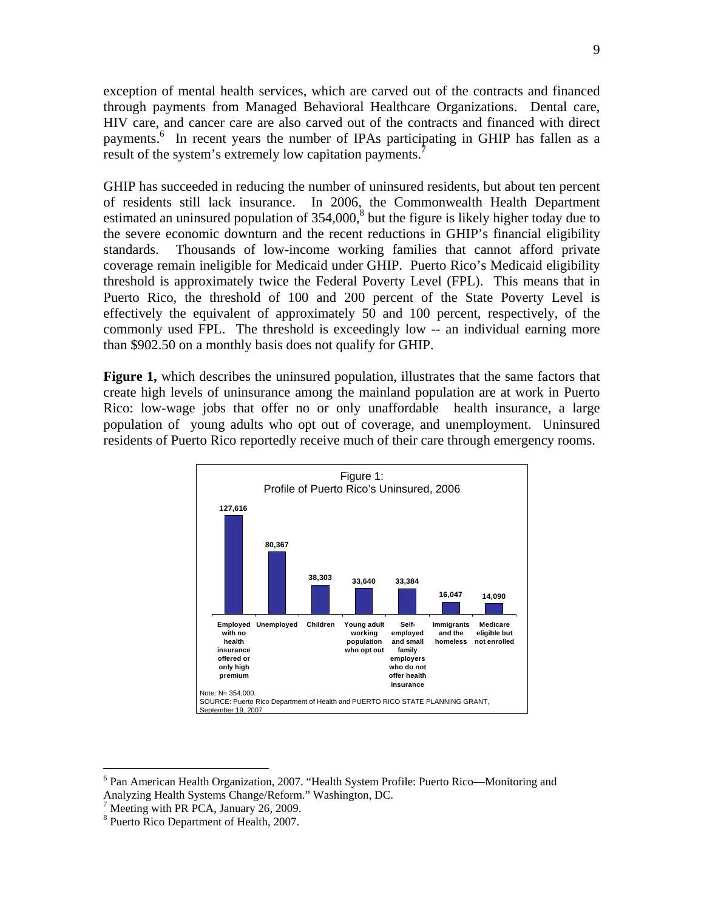exception of mental health services, which are carved out of the contracts and financed through payments from Managed Behavioral Healthcare Organizations. Dental care, HIV care, and cancer care are also carved out of the contracts and financed with direct payments.<sup>6</sup> In recent years the number of IPAs participating in GHIP has fallen as a result of the system's extremely low capitation payments.<sup>7</sup>

GHIP has succeeded in reducing the number of uninsured residents, but about ten percent of residents still lack insurance. In 2006, the Commonwealth Health Department estimated an uninsured population of  $354,000$ ,<sup>8</sup> but the figure is likely higher today due to the severe economic downturn and the recent reductions in GHIP's financial eligibility standards. Thousands of low-income working families that cannot afford private coverage remain ineligible for Medicaid under GHIP. Puerto Rico's Medicaid eligibility threshold is approximately twice the Federal Poverty Level (FPL). This means that in Puerto Rico, the threshold of 100 and 200 percent of the State Poverty Level is effectively the equivalent of approximately 50 and 100 percent, respectively, of the commonly used FPL. The threshold is exceedingly low -- an individual earning more than \$902.50 on a monthly basis does not qualify for GHIP.

**Figure 1,** which describes the uninsured population, illustrates that the same factors that create high levels of uninsurance among the mainland population are at work in Puerto Rico: low-wage jobs that offer no or only unaffordable health insurance, a large population of young adults who opt out of coverage, and unemployment. Uninsured residents of Puerto Rico reportedly receive much of their care through emergency rooms.



<sup>&</sup>lt;sup>6</sup> Pan American Health Organization, 2007. "Health System Profile: Puerto Rico—Monitoring and Analyzing Health Systems Change/Reform." Washington, DC.

<sup>&</sup>lt;sup>7</sup> Meeting with PR PCA, January 26, 2009.

<sup>8</sup> Puerto Rico Department of Health, 2007.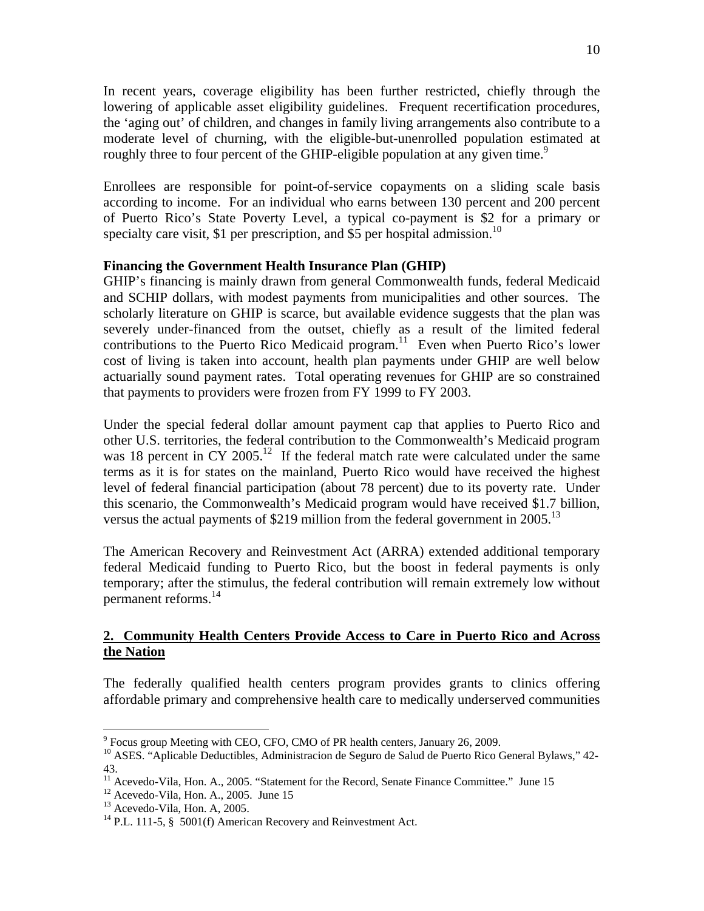In recent years, coverage eligibility has been further restricted, chiefly through the lowering of applicable asset eligibility guidelines. Frequent recertification procedures, the 'aging out' of children, and changes in family living arrangements also contribute to a moderate level of churning, with the eligible-but-unenrolled population estimated at roughly three to four percent of the GHIP-eligible population at any given time.<sup>9</sup>

Enrollees are responsible for point-of-service copayments on a sliding scale basis according to income. For an individual who earns between 130 percent and 200 percent of Puerto Rico's State Poverty Level, a typical co-payment is \$2 for a primary or specialty care visit, \$1 per prescription, and \$5 per hospital admission.<sup>10</sup>

#### **Financing the Government Health Insurance Plan (GHIP)**

GHIP's financing is mainly drawn from general Commonwealth funds, federal Medicaid and SCHIP dollars, with modest payments from municipalities and other sources. The scholarly literature on GHIP is scarce, but available evidence suggests that the plan was severely under-financed from the outset, chiefly as a result of the limited federal contributions to the Puerto Rico Medicaid program.<sup>11</sup> Even when Puerto Rico's lower cost of living is taken into account, health plan payments under GHIP are well below actuarially sound payment rates. Total operating revenues for GHIP are so constrained that payments to providers were frozen from FY 1999 to FY 2003.

Under the special federal dollar amount payment cap that applies to Puerto Rico and other U.S. territories, the federal contribution to the Commonwealth's Medicaid program was 18 percent in CY 2005.<sup>12</sup> If the federal match rate were calculated under the same terms as it is for states on the mainland, Puerto Rico would have received the highest level of federal financial participation (about 78 percent) due to its poverty rate. Under this scenario, the Commonwealth's Medicaid program would have received \$1.7 billion, versus the actual payments of \$219 million from the federal government in  $2005$ .<sup>13</sup>

The American Recovery and Reinvestment Act (ARRA) extended additional temporary federal Medicaid funding to Puerto Rico, but the boost in federal payments is only temporary; after the stimulus, the federal contribution will remain extremely low without permanent reforms.14

### **2. Community Health Centers Provide Access to Care in Puerto Rico and Across the Nation**

The federally qualified health centers program provides grants to clinics offering affordable primary and comprehensive health care to medically underserved communities

<sup>&</sup>lt;sup>9</sup> Focus group Meeting with CEO, CFO, CMO of PR health centers, January 26, 2009.

<sup>&</sup>lt;sup>10</sup> ASES. "Aplicable Deductibles, Administracion de Seguro de Salud de Puerto Rico General Bylaws," 42-43.

<sup>&</sup>lt;sup>11</sup> Acevedo-Vila, Hon. A., 2005. "Statement for the Record, Senate Finance Committee." June 15<br><sup>12</sup> Acevedo-Vila, Hon. A., 2005. June 15

 $12$  Acevedo-Vila, Hon. A., 2005. June 15<br><sup>13</sup> Acevedo-Vila, Hon. A, 2005.

 $14$  P.L. 111-5, § 5001(f) American Recovery and Reinvestment Act.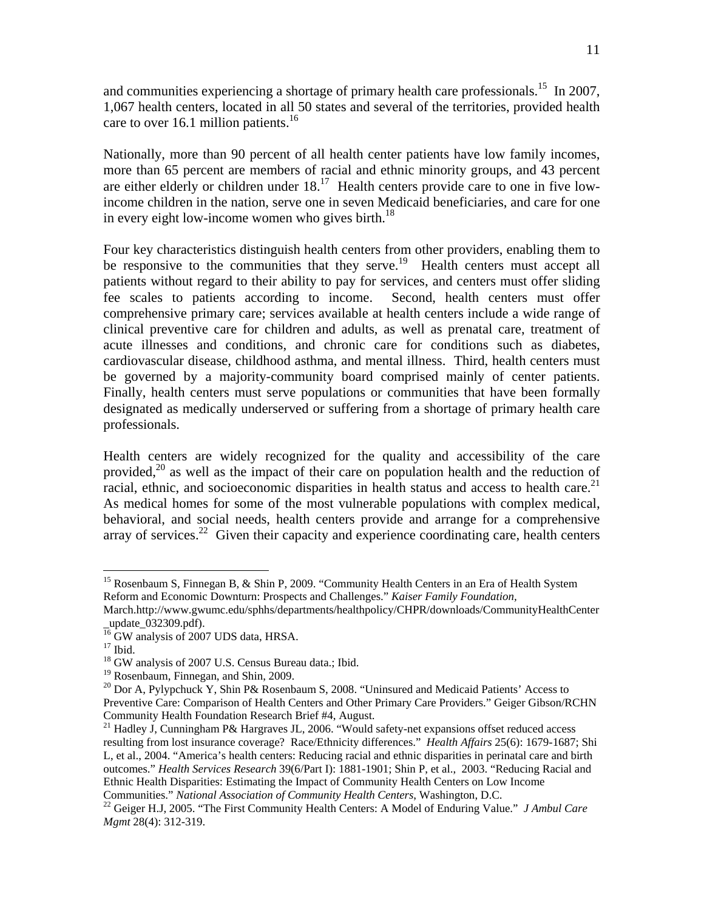and communities experiencing a shortage of primary health care professionals.<sup>15</sup> In 2007, 1,067 health centers, located in all 50 states and several of the territories, provided health care to over 16.1 million patients. $16$ 

Nationally, more than 90 percent of all health center patients have low family incomes, more than 65 percent are members of racial and ethnic minority groups, and 43 percent are either elderly or children under  $18<sup>17</sup>$  Health centers provide care to one in five lowincome children in the nation, serve one in seven Medicaid beneficiaries, and care for one in every eight low-income women who gives birth.<sup>18</sup>

Four key characteristics distinguish health centers from other providers, enabling them to be responsive to the communities that they serve.<sup>19</sup> Health centers must accept all patients without regard to their ability to pay for services, and centers must offer sliding fee scales to patients according to income. Second, health centers must offer comprehensive primary care; services available at health centers include a wide range of clinical preventive care for children and adults, as well as prenatal care, treatment of acute illnesses and conditions, and chronic care for conditions such as diabetes, cardiovascular disease, childhood asthma, and mental illness. Third, health centers must be governed by a majority-community board comprised mainly of center patients. Finally, health centers must serve populations or communities that have been formally designated as medically underserved or suffering from a shortage of primary health care professionals.

Health centers are widely recognized for the quality and accessibility of the care provided,<sup>20</sup> as well as the impact of their care on population health and the reduction of racial, ethnic, and socioeconomic disparities in health status and access to health care.<sup>21</sup> As medical homes for some of the most vulnerable populations with complex medical, behavioral, and social needs, health centers provide and arrange for a comprehensive array of services.<sup>22</sup> Given their capacity and experience coordinating care, health centers

<sup>&</sup>lt;sup>15</sup> Rosenbaum S, Finnegan B, & Shin P, 2009. "Community Health Centers in an Era of Health System Reform and Economic Downturn: Prospects and Challenges." *Kaiser Family Foundation,* 

March.http://www.gwumc.edu/sphhs/departments/healthpolicy/CHPR/downloads/CommunityHealthCenter \_update\_032309.pdf).

<sup>&</sup>lt;sup>16</sup> GW analysis of 2007 UDS data, HRSA.

 $17$  Ibid.

<sup>&</sup>lt;sup>18</sup> GW analysis of 2007 U.S. Census Bureau data.; Ibid.

<sup>&</sup>lt;sup>19</sup> Rosenbaum, Finnegan, and Shin, 2009.

<sup>&</sup>lt;sup>20</sup> Dor A, Pylypchuck Y, Shin P& Rosenbaum S, 2008. "Uninsured and Medicaid Patients' Access to Preventive Care: Comparison of Health Centers and Other Primary Care Providers." Geiger Gibson/RCHN Community Health Foundation Research Brief #4, August.

<sup>&</sup>lt;sup>21</sup> Hadley J, Cunningham P& Hargraves JL, 2006. "Would safety-net expansions offset reduced access resulting from lost insurance coverage? Race/Ethnicity differences." *Health Affairs* 25(6): 1679-1687; Shi L, et al., 2004. "America's health centers: Reducing racial and ethnic disparities in perinatal care and birth outcomes." *Health Services Research* 39(6/Part I): 1881-1901; Shin P, et al., 2003. "Reducing Racial and Ethnic Health Disparities: Estimating the Impact of Community Health Centers on Low Income

Communities." *National Association of Community Health Centers*, Washington, D.C. 22 Geiger H.J, 2005. "The First Community Health Centers: A Model of Enduring Value." *J Ambul Care Mgmt* 28(4): 312-319.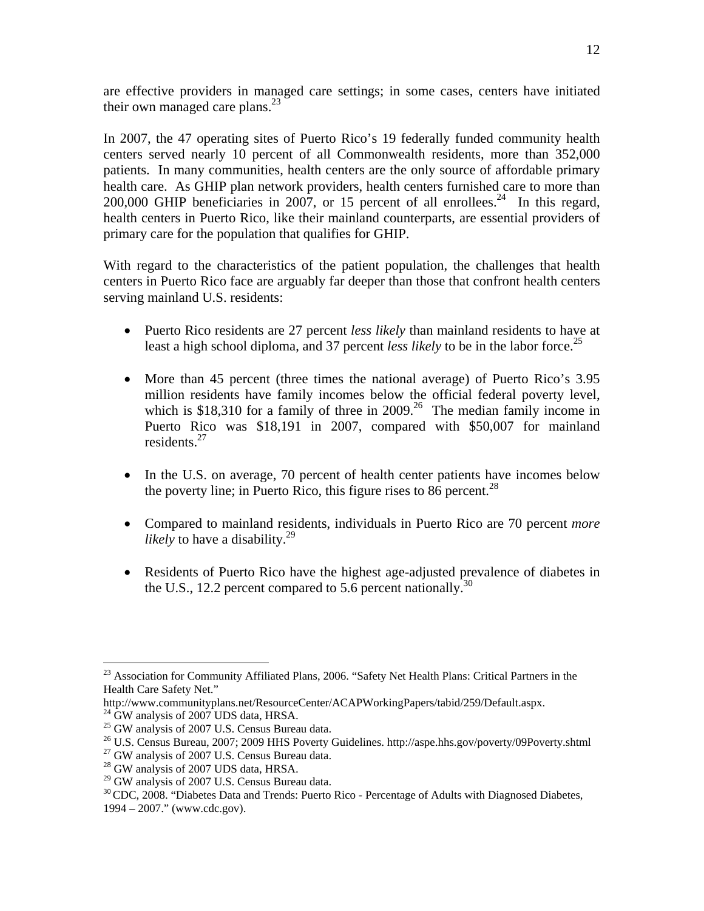are effective providers in managed care settings; in some cases, centers have initiated their own managed care plans. $^{23}$ 

In 2007, the 47 operating sites of Puerto Rico's 19 federally funded community health centers served nearly 10 percent of all Commonwealth residents, more than 352,000 patients. In many communities, health centers are the only source of affordable primary health care. As GHIP plan network providers, health centers furnished care to more than 200,000 GHIP beneficiaries in 2007, or 15 percent of all enrollees.<sup>24</sup> In this regard, health centers in Puerto Rico, like their mainland counterparts, are essential providers of primary care for the population that qualifies for GHIP.

With regard to the characteristics of the patient population, the challenges that health centers in Puerto Rico face are arguably far deeper than those that confront health centers serving mainland U.S. residents:

- Puerto Rico residents are 27 percent *less likely* than mainland residents to have at least a high school diploma, and 37 percent *less likely* to be in the labor force.<sup>25</sup>
- More than 45 percent (three times the national average) of Puerto Rico's 3.95 million residents have family incomes below the official federal poverty level, which is \$18,310 for a family of three in 2009.<sup>26</sup> The median family income in Puerto Rico was \$18,191 in 2007, compared with \$50,007 for mainland residents.<sup>27</sup>
- In the U.S. on average, 70 percent of health center patients have incomes below the poverty line; in Puerto Rico, this figure rises to 86 percent.<sup>28</sup>
- Compared to mainland residents, individuals in Puerto Rico are 70 percent *more likely* to have a disability.<sup>29</sup>
- Residents of Puerto Rico have the highest age-adjusted prevalence of diabetes in the U.S., 12.2 percent compared to 5.6 percent nationally.<sup>30</sup>

 $\overline{a}$ <sup>23</sup> Association for Community Affiliated Plans, 2006. "Safety Net Health Plans: Critical Partners in the Health Care Safety Net."

http://www.communityplans.net/ResourceCenter/ACAPWorkingPapers/tabid/259/Default.aspx. 24 GW analysis of 2007 UDS data, HRSA.

<sup>&</sup>lt;sup>25</sup> GW analysis of 2007 U.S. Census Bureau data.

<sup>&</sup>lt;sup>26</sup> U.S. Census Bureau, 2007; 2009 HHS Poverty Guidelines. http://aspe.hhs.gov/poverty/09Poverty.shtml <sup>27</sup> GW analysis of 2007 U.S. Census Bureau data.

<sup>&</sup>lt;sup>28</sup> GW analysis of 2007 UDS data, HRSA.

<sup>&</sup>lt;sup>29</sup> GW analysis of 2007 U.S. Census Bureau data.

<sup>&</sup>lt;sup>30</sup> CDC, 2008. "Diabetes Data and Trends: Puerto Rico - Percentage of Adults with Diagnosed Diabetes,

<sup>1994 – 2007.&</sup>quot; (www.cdc.gov).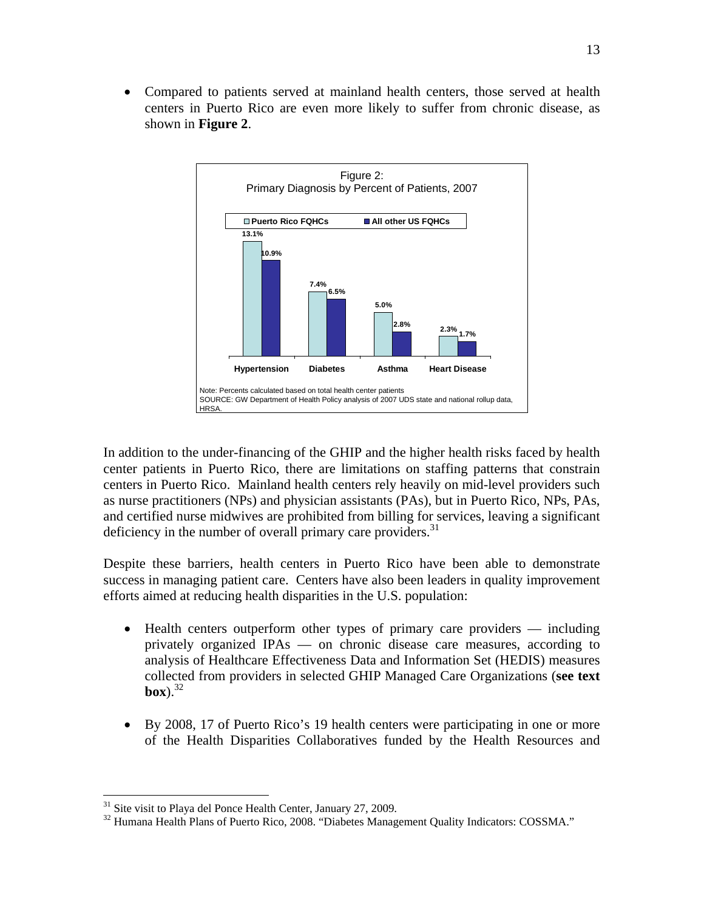• Compared to patients served at mainland health centers, those served at health centers in Puerto Rico are even more likely to suffer from chronic disease, as shown in **Figure 2**.



In addition to the under-financing of the GHIP and the higher health risks faced by health center patients in Puerto Rico, there are limitations on staffing patterns that constrain centers in Puerto Rico. Mainland health centers rely heavily on mid-level providers such as nurse practitioners (NPs) and physician assistants (PAs), but in Puerto Rico, NPs, PAs, and certified nurse midwives are prohibited from billing for services, leaving a significant deficiency in the number of overall primary care providers. $31$ 

Despite these barriers, health centers in Puerto Rico have been able to demonstrate success in managing patient care. Centers have also been leaders in quality improvement efforts aimed at reducing health disparities in the U.S. population:

- Health centers outperform other types of primary care providers including privately organized IPAs — on chronic disease care measures, according to analysis of Healthcare Effectiveness Data and Information Set (HEDIS) measures collected from providers in selected GHIP Managed Care Organizations (**see text**   $\mathbf{box}$ ).<sup>32</sup>
- By 2008, 17 of Puerto Rico's 19 health centers were participating in one or more of the Health Disparities Collaboratives funded by the Health Resources and

<sup>&</sup>lt;sup>31</sup> Site visit to Playa del Ponce Health Center, January 27, 2009.

<sup>&</sup>lt;sup>32</sup> Humana Health Plans of Puerto Rico, 2008. "Diabetes Management Quality Indicators: COSSMA."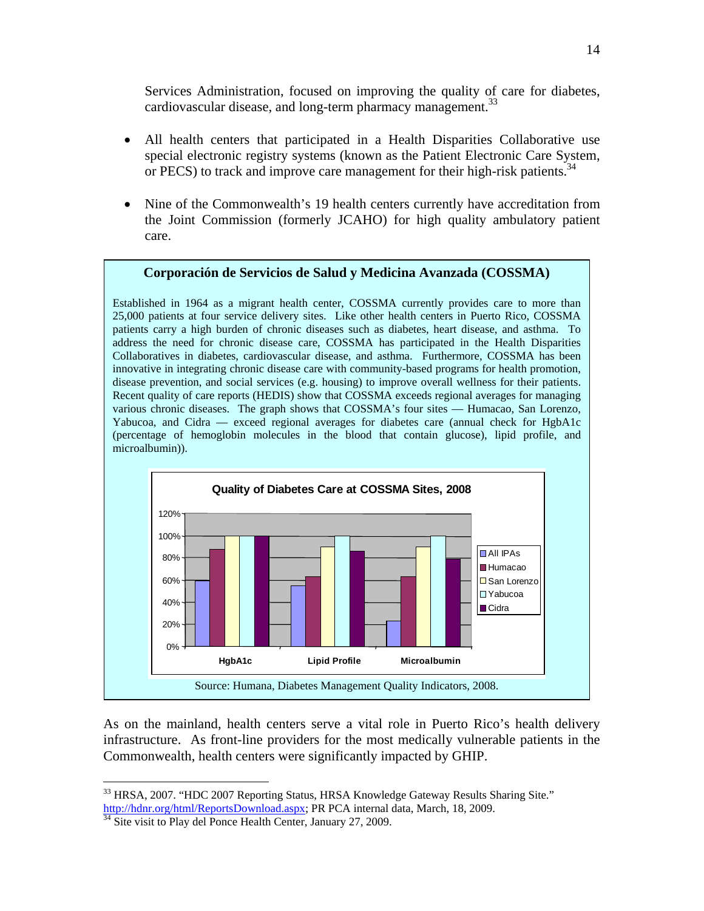Services Administration, focused on improving the quality of care for diabetes, cardiovascular disease, and long-term pharmacy management.<sup>33</sup>

- All health centers that participated in a Health Disparities Collaborative use special electronic registry systems (known as the Patient Electronic Care System, or PECS) to track and improve care management for their high-risk patients.<sup>34</sup>
- Nine of the Commonwealth's 19 health centers currently have accreditation from the Joint Commission (formerly JCAHO) for high quality ambulatory patient care.

#### **Corporación de Servicios de Salud y Medicina Avanzada (COSSMA)**

Established in 1964 as a migrant health center, COSSMA currently provides care to more than 25,000 patients at four service delivery sites. Like other health centers in Puerto Rico, COSSMA patients carry a high burden of chronic diseases such as diabetes, heart disease, and asthma. To address the need for chronic disease care, COSSMA has participated in the Health Disparities Collaboratives in diabetes, cardiovascular disease, and asthma. Furthermore, COSSMA has been innovative in integrating chronic disease care with community-based programs for health promotion, disease prevention, and social services (e.g. housing) to improve overall wellness for their patients. Recent quality of care reports (HEDIS) show that COSSMA exceeds regional averages for managing various chronic diseases. The graph shows that COSSMA's four sites — Humacao, San Lorenzo, Yabucoa, and Cidra — exceed regional averages for diabetes care (annual check for HgbA1c (percentage of hemoglobin molecules in the blood that contain glucose), lipid profile, and microalbumin)).



As on the mainland, health centers serve a vital role in Puerto Rico's health delivery infrastructure. As front-line providers for the most medically vulnerable patients in the Commonwealth, health centers were significantly impacted by GHIP.

1

<sup>&</sup>lt;sup>33</sup> HRSA, 2007. "HDC 2007 Reporting Status, HRSA Knowledge Gateway Results Sharing Site." http://hdnr.org/html/ReportsDownload.aspx; PR PCA internal data, March, 18, 2009. <sup>34</sup> Site visit to Play del Ponce Health Center, January 27, 2009.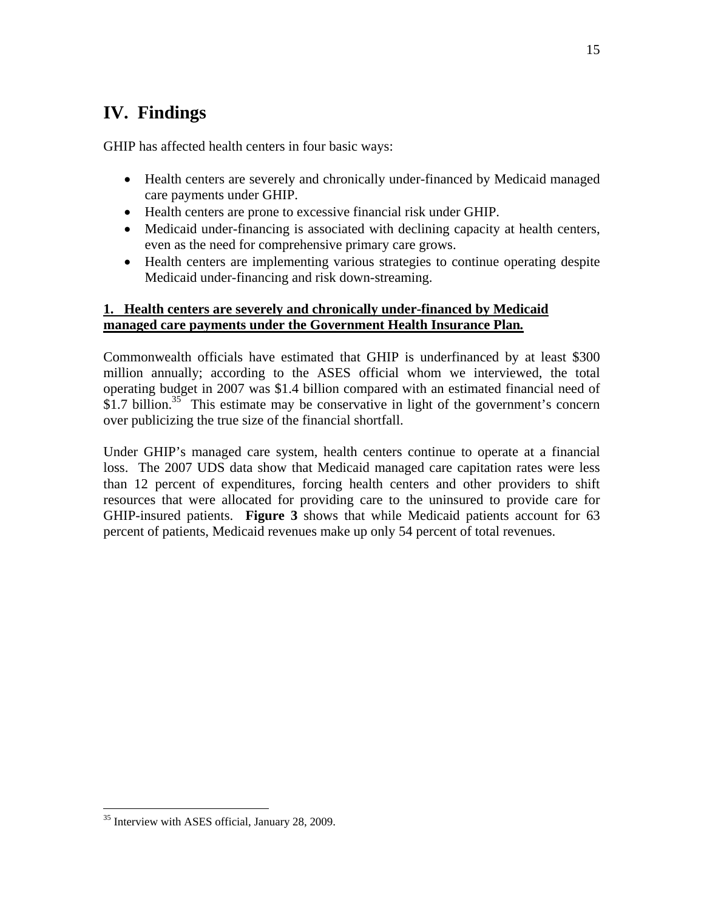# **IV. Findings**

GHIP has affected health centers in four basic ways:

- Health centers are severely and chronically under-financed by Medicaid managed care payments under GHIP.
- Health centers are prone to excessive financial risk under GHIP.
- Medicaid under-financing is associated with declining capacity at health centers, even as the need for comprehensive primary care grows.
- Health centers are implementing various strategies to continue operating despite Medicaid under-financing and risk down-streaming.

### **1. Health centers are severely and chronically under-financed by Medicaid managed care payments under the Government Health Insurance Plan***.*

Commonwealth officials have estimated that GHIP is underfinanced by at least \$300 million annually; according to the ASES official whom we interviewed, the total operating budget in 2007 was \$1.4 billion compared with an estimated financial need of \$1.7 billion.<sup>35</sup> This estimate may be conservative in light of the government's concern over publicizing the true size of the financial shortfall.

Under GHIP's managed care system, health centers continue to operate at a financial loss. The 2007 UDS data show that Medicaid managed care capitation rates were less than 12 percent of expenditures, forcing health centers and other providers to shift resources that were allocated for providing care to the uninsured to provide care for GHIP*-*insured patients. **Figure 3** shows that while Medicaid patients account for 63 percent of patients, Medicaid revenues make up only 54 percent of total revenues.

<sup>&</sup>lt;sup>35</sup> Interview with ASES official, January 28, 2009.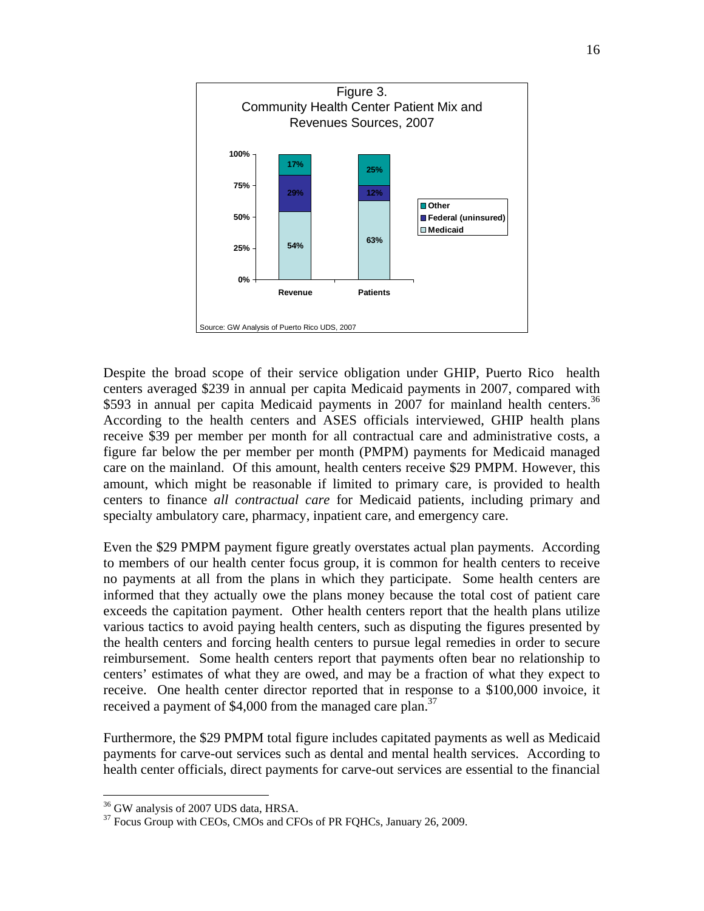

Despite the broad scope of their service obligation under GHIP, Puerto Rico health centers averaged \$239 in annual per capita Medicaid payments in 2007, compared with \$593 in annual per capita Medicaid payments in 2007 for mainland health centers.<sup>36</sup> According to the health centers and ASES officials interviewed, GHIP health plans receive \$39 per member per month for all contractual care and administrative costs, a figure far below the per member per month (PMPM) payments for Medicaid managed care on the mainland. Of this amount, health centers receive \$29 PMPM. However, this amount, which might be reasonable if limited to primary care, is provided to health centers to finance *all contractual care* for Medicaid patients*,* including primary and specialty ambulatory care, pharmacy, inpatient care, and emergency care.

Even the \$29 PMPM payment figure greatly overstates actual plan payments. According to members of our health center focus group, it is common for health centers to receive no payments at all from the plans in which they participate. Some health centers are informed that they actually owe the plans money because the total cost of patient care exceeds the capitation payment. Other health centers report that the health plans utilize various tactics to avoid paying health centers, such as disputing the figures presented by the health centers and forcing health centers to pursue legal remedies in order to secure reimbursement. Some health centers report that payments often bear no relationship to centers' estimates of what they are owed, and may be a fraction of what they expect to receive. One health center director reported that in response to a \$100,000 invoice, it received a payment of \$4,000 from the managed care plan.<sup>37</sup>

Furthermore, the \$29 PMPM total figure includes capitated payments as well as Medicaid payments for carve-out services such as dental and mental health services. According to health center officials, direct payments for carve-out services are essential to the financial

1

<sup>&</sup>lt;sup>36</sup> GW analysis of 2007 UDS data, HRSA.

<sup>&</sup>lt;sup>37</sup> Focus Group with CEOs, CMOs and CFOs of PR FQHCs, January 26, 2009.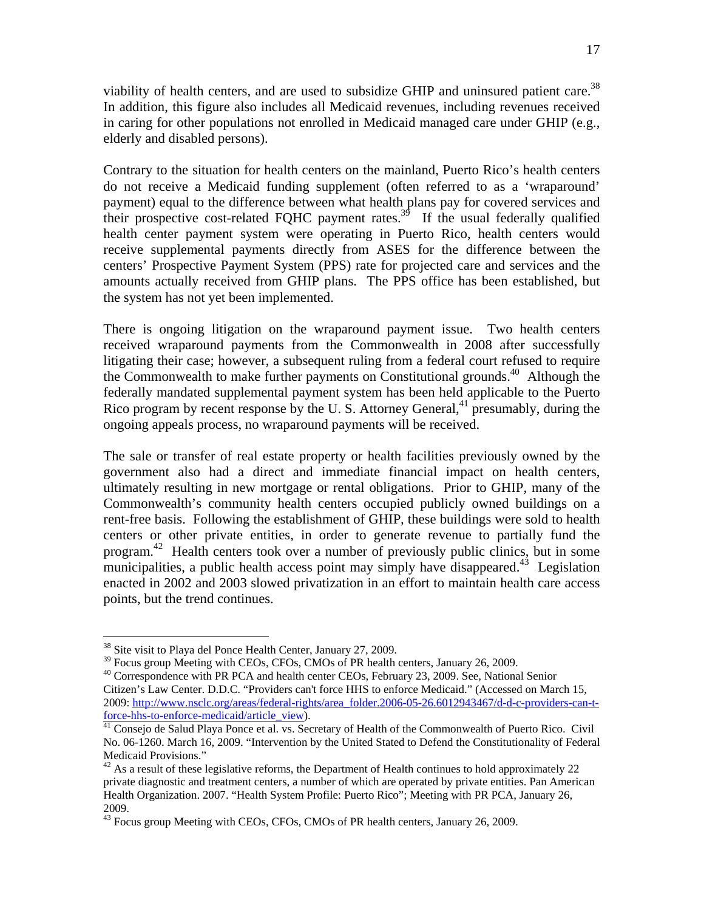viability of health centers, and are used to subsidize GHIP and uninsured patient care.<sup>38</sup> In addition, this figure also includes all Medicaid revenues, including revenues received in caring for other populations not enrolled in Medicaid managed care under GHIP (e.g., elderly and disabled persons).

Contrary to the situation for health centers on the mainland, Puerto Rico's health centers do not receive a Medicaid funding supplement (often referred to as a 'wraparound' payment) equal to the difference between what health plans pay for covered services and their prospective cost-related FQHC payment rates.<sup>39</sup> If the usual federally qualified health center payment system were operating in Puerto Rico, health centers would receive supplemental payments directly from ASES for the difference between the centers' Prospective Payment System (PPS) rate for projected care and services and the amounts actually received from GHIP plans. The PPS office has been established, but the system has not yet been implemented.

There is ongoing litigation on the wraparound payment issue. Two health centers received wraparound payments from the Commonwealth in 2008 after successfully litigating their case; however, a subsequent ruling from a federal court refused to require the Commonwealth to make further payments on Constitutional grounds.<sup>40</sup> Although the federally mandated supplemental payment system has been held applicable to the Puerto Rico program by recent response by the U.S. Attorney General,  $41 \text{ presumably}$ , during the ongoing appeals process, no wraparound payments will be received.

The sale or transfer of real estate property or health facilities previously owned by the government also had a direct and immediate financial impact on health centers, ultimately resulting in new mortgage or rental obligations. Prior to GHIP*,* many of the Commonwealth's community health centers occupied publicly owned buildings on a rent-free basis. Following the establishment of GHIP*,* these buildings were sold to health centers or other private entities, in order to generate revenue to partially fund the program. 42 Health centers took over a number of previously public clinics, but in some municipalities, a public health access point may simply have disappeared.<sup>43</sup> Legislation enacted in 2002 and 2003 slowed privatization in an effort to maintain health care access points, but the trend continues.

 $38$  Site visit to Playa del Ponce Health Center, January 27, 2009.<br> $39$  Focus group Meeting with CEOs, CFOs, CMOs of PR health centers, January 26, 2009.

<sup>&</sup>lt;sup>40</sup> Correspondence with PR PCA and health center CEOs, February 23, 2009. See, National Senior Citizen's Law Center. D.D.C. "Providers can't force HHS to enforce Medicaid." (Accessed on March 15, 2009: http://www.nsclc.org/areas/federal-rights/area\_folder.2006-05-26.6012943467/d-d-c-providers-can-t-<br>force-hhs-to-enforce-medicaid/article\_view).

 $\frac{41}{11}$  Consejo de Salud Playa Ponce et al. vs. Secretary of Health of the Commonwealth of Puerto Rico. Civil No. 06-1260. March 16, 2009. "Intervention by the United Stated to Defend the Constitutionality of Federal Medicaid Provisions."

 $42$  As a result of these legislative reforms, the Department of Health continues to hold approximately 22 private diagnostic and treatment centers, a number of which are operated by private entities. Pan American Health Organization. 2007. "Health System Profile: Puerto Rico"; Meeting with PR PCA, January 26, 2009.

<sup>43</sup> Focus group Meeting with CEOs, CFOs, CMOs of PR health centers, January 26, 2009.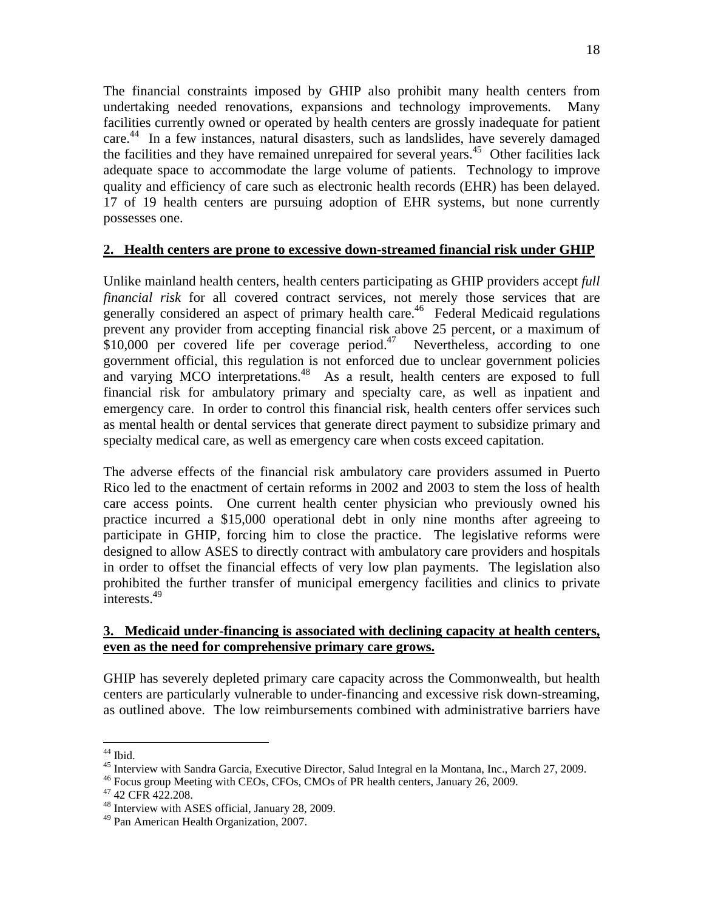The financial constraints imposed by GHIP also prohibit many health centers from undertaking needed renovations, expansions and technology improvements. Many facilities currently owned or operated by health centers are grossly inadequate for patient care. 44 In a few instances, natural disasters, such as landslides, have severely damaged the facilities and they have remained unrepaired for several years.<sup>45</sup> Other facilities lack adequate space to accommodate the large volume of patients. Technology to improve quality and efficiency of care such as electronic health records (EHR) has been delayed. 17 of 19 health centers are pursuing adoption of EHR systems, but none currently possesses one.

### **2. Health centers are prone to excessive down-streamed financial risk under GHIP**

Unlike mainland health centers, health centers participating as GHIP providers accept *full financial risk* for all covered contract services, not merely those services that are generally considered an aspect of primary health care.<sup>46</sup> Federal Medicaid regulations prevent any provider from accepting financial risk above 25 percent, or a maximum of \$10,000 per covered life per coverage period.<sup>47</sup> Nevertheless, according to one government official, this regulation is not enforced due to unclear government policies and varying MCO interpretations.<sup>48</sup> As a result, health centers are exposed to full financial risk for ambulatory primary and specialty care, as well as inpatient and emergency care. In order to control this financial risk, health centers offer services such as mental health or dental services that generate direct payment to subsidize primary and specialty medical care, as well as emergency care when costs exceed capitation.

The adverse effects of the financial risk ambulatory care providers assumed in Puerto Rico led to the enactment of certain reforms in 2002 and 2003 to stem the loss of health care access points. One current health center physician who previously owned his practice incurred a \$15,000 operational debt in only nine months after agreeing to participate in GHIP, forcing him to close the practice. The legislative reforms were designed to allow ASES to directly contract with ambulatory care providers and hospitals in order to offset the financial effects of very low plan payments. The legislation also prohibited the further transfer of municipal emergency facilities and clinics to private  $\frac{1}{1}$ interests.<sup>49</sup>

### **3. Medicaid under-financing is associated with declining capacity at health centers, even as the need for comprehensive primary care grows.**

GHIP has severely depleted primary care capacity across the Commonwealth, but health centers are particularly vulnerable to under-financing and excessive risk down-streaming, as outlined above. The low reimbursements combined with administrative barriers have

 $\overline{a}$  $44$  Ibid.

<sup>&</sup>lt;sup>45</sup> Interview with Sandra Garcia, Executive Director, Salud Integral en la Montana, Inc., March 27, 2009.  $^{46}$  Focus group Meeting with CEOs, CFOs, CMOs of PR health centers, January 26, 2009.  $^{47}$  42 CFR 422.208.

<sup>48</sup> Interview with ASES official, January 28, 2009.

<sup>49</sup> Pan American Health Organization, 2007.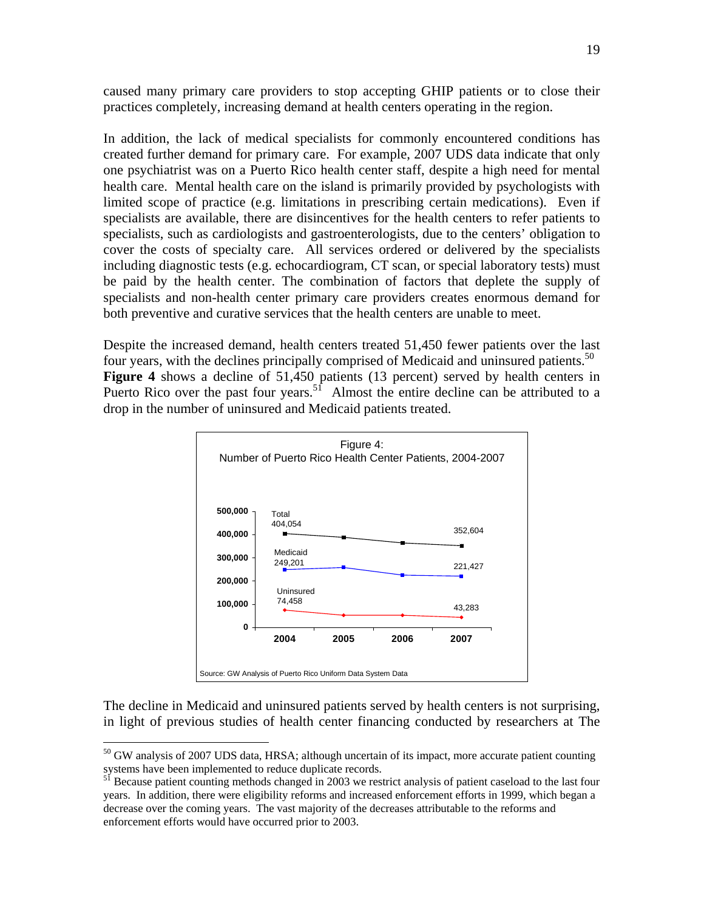caused many primary care providers to stop accepting GHIP patients or to close their practices completely, increasing demand at health centers operating in the region.

In addition, the lack of medical specialists for commonly encountered conditions has created further demand for primary care. For example, 2007 UDS data indicate that only one psychiatrist was on a Puerto Rico health center staff, despite a high need for mental health care. Mental health care on the island is primarily provided by psychologists with limited scope of practice (e.g. limitations in prescribing certain medications). Even if specialists are available, there are disincentives for the health centers to refer patients to specialists, such as cardiologists and gastroenterologists, due to the centers' obligation to cover the costs of specialty care. All services ordered or delivered by the specialists including diagnostic tests (e.g. echocardiogram, CT scan, or special laboratory tests) must be paid by the health center. The combination of factors that deplete the supply of specialists and non-health center primary care providers creates enormous demand for both preventive and curative services that the health centers are unable to meet.

Despite the increased demand, health centers treated 51,450 fewer patients over the last four years, with the declines principally comprised of Medicaid and uninsured patients.<sup>50</sup> **Figure 4** shows a decline of 51,450 patients (13 percent) served by health centers in Puerto Rico over the past four years.<sup>51</sup> Almost the entire decline can be attributed to a drop in the number of uninsured and Medicaid patients treated.



The decline in Medicaid and uninsured patients served by health centers is not surprising, in light of previous studies of health center financing conducted by researchers at The

1

<sup>50</sup> GW analysis of 2007 UDS data, HRSA; although uncertain of its impact, more accurate patient counting systems have been implemented to reduce duplicate records.<br><sup>51</sup> Because patient counting methods changed in 2003 we restrict analysis of patient caseload to the last four

years. In addition, there were eligibility reforms and increased enforcement efforts in 1999, which began a decrease over the coming years. The vast majority of the decreases attributable to the reforms and enforcement efforts would have occurred prior to 2003.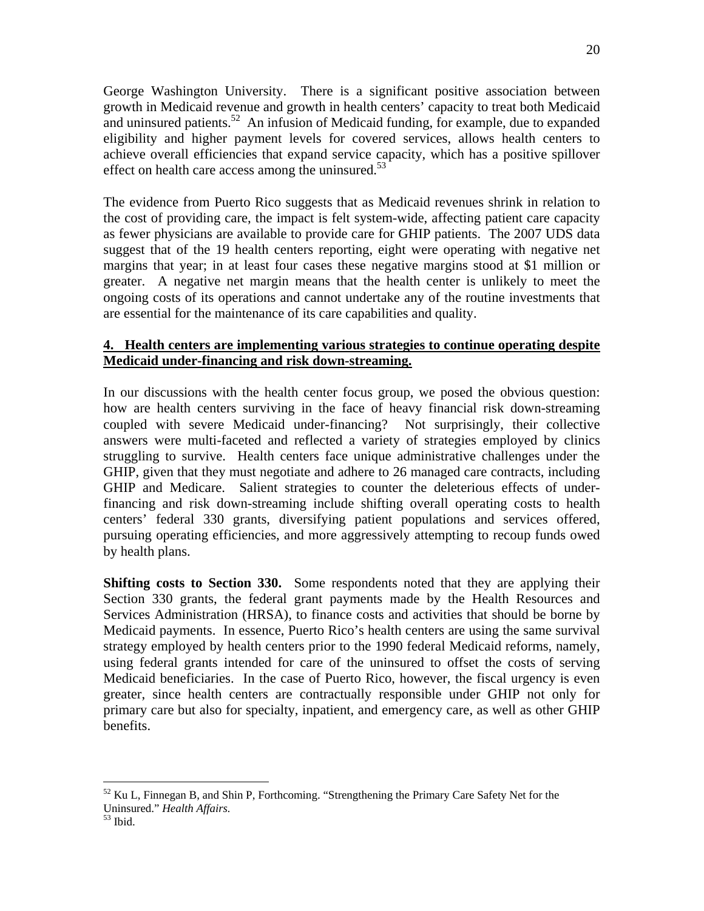George Washington University. There is a significant positive association between growth in Medicaid revenue and growth in health centers' capacity to treat both Medicaid and uninsured patients.<sup>52</sup> An infusion of Medicaid funding, for example, due to expanded eligibility and higher payment levels for covered services, allows health centers to achieve overall efficiencies that expand service capacity, which has a positive spillover effect on health care access among the uninsured.<sup>53</sup>

The evidence from Puerto Rico suggests that as Medicaid revenues shrink in relation to the cost of providing care, the impact is felt system-wide, affecting patient care capacity as fewer physicians are available to provide care for GHIP patients. The 2007 UDS data suggest that of the 19 health centers reporting, eight were operating with negative net margins that year; in at least four cases these negative margins stood at \$1 million or greater. A negative net margin means that the health center is unlikely to meet the ongoing costs of its operations and cannot undertake any of the routine investments that are essential for the maintenance of its care capabilities and quality.

### **4. Health centers are implementing various strategies to continue operating despite Medicaid under-financing and risk down-streaming.**

In our discussions with the health center focus group, we posed the obvious question: how are health centers surviving in the face of heavy financial risk down-streaming coupled with severe Medicaid under-financing? Not surprisingly, their collective answers were multi-faceted and reflected a variety of strategies employed by clinics struggling to survive. Health centers face unique administrative challenges under the GHIP, given that they must negotiate and adhere to 26 managed care contracts, including GHIP and Medicare. Salient strategies to counter the deleterious effects of underfinancing and risk down-streaming include shifting overall operating costs to health centers' federal 330 grants, diversifying patient populations and services offered, pursuing operating efficiencies, and more aggressively attempting to recoup funds owed by health plans.

**Shifting costs to Section 330.** Some respondents noted that they are applying their Section 330 grants, the federal grant payments made by the Health Resources and Services Administration (HRSA), to finance costs and activities that should be borne by Medicaid payments. In essence, Puerto Rico's health centers are using the same survival strategy employed by health centers prior to the 1990 federal Medicaid reforms, namely, using federal grants intended for care of the uninsured to offset the costs of serving Medicaid beneficiaries. In the case of Puerto Rico, however, the fiscal urgency is even greater, since health centers are contractually responsible under GHIP not only for primary care but also for specialty, inpatient, and emergency care, as well as other GHIP benefits.

 $52$  Ku L, Finnegan B, and Shin P, Forthcoming. "Strengthening the Primary Care Safety Net for the Uninsured." *Health Affairs.* 53 Ibid.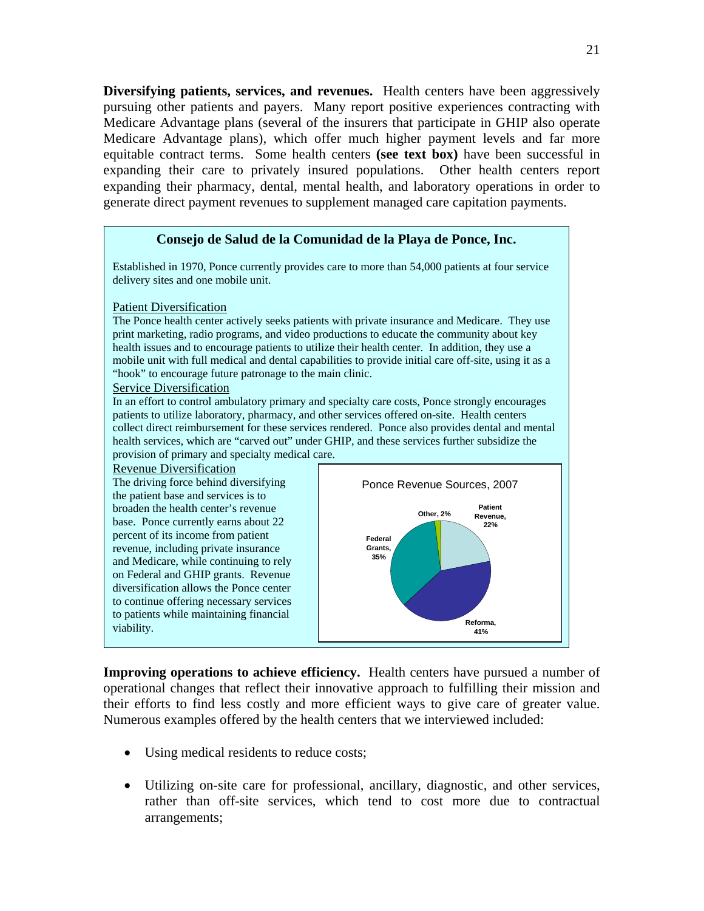**Diversifying patients, services, and revenues.** Health centers have been aggressively pursuing other patients and payers. Many report positive experiences contracting with Medicare Advantage plans (several of the insurers that participate in GHIP also operate Medicare Advantage plans), which offer much higher payment levels and far more equitable contract terms. Some health centers **(see text box)** have been successful in expanding their care to privately insured populations. Other health centers report expanding their pharmacy, dental, mental health, and laboratory operations in order to generate direct payment revenues to supplement managed care capitation payments.

#### **Consejo de Salud de la Comunidad de la Playa de Ponce, Inc.**

Established in 1970, Ponce currently provides care to more than 54,000 patients at four service delivery sites and one mobile unit.

#### Patient Diversification

The Ponce health center actively seeks patients with private insurance and Medicare. They use print marketing, radio programs, and video productions to educate the community about key health issues and to encourage patients to utilize their health center. In addition, they use a mobile unit with full medical and dental capabilities to provide initial care off-site, using it as a "hook" to encourage future patronage to the main clinic.

#### Service Diversification

In an effort to control ambulatory primary and specialty care costs, Ponce strongly encourages patients to utilize laboratory, pharmacy, and other services offered on-site. Health centers collect direct reimbursement for these services rendered. Ponce also provides dental and mental health services, which are "carved out" under GHIP, and these services further subsidize the provision of primary and specialty medical care.

#### Revenue Diversification





**Patient Revenue, 22%**

**Other, 2%**

**Improving operations to achieve efficiency.** Health centers have pursued a number of operational changes that reflect their innovative approach to fulfilling their mission and their efforts to find less costly and more efficient ways to give care of greater value. Numerous examples offered by the health centers that we interviewed included:

- Using medical residents to reduce costs;
- Utilizing on-site care for professional, ancillary, diagnostic, and other services, rather than off-site services, which tend to cost more due to contractual arrangements;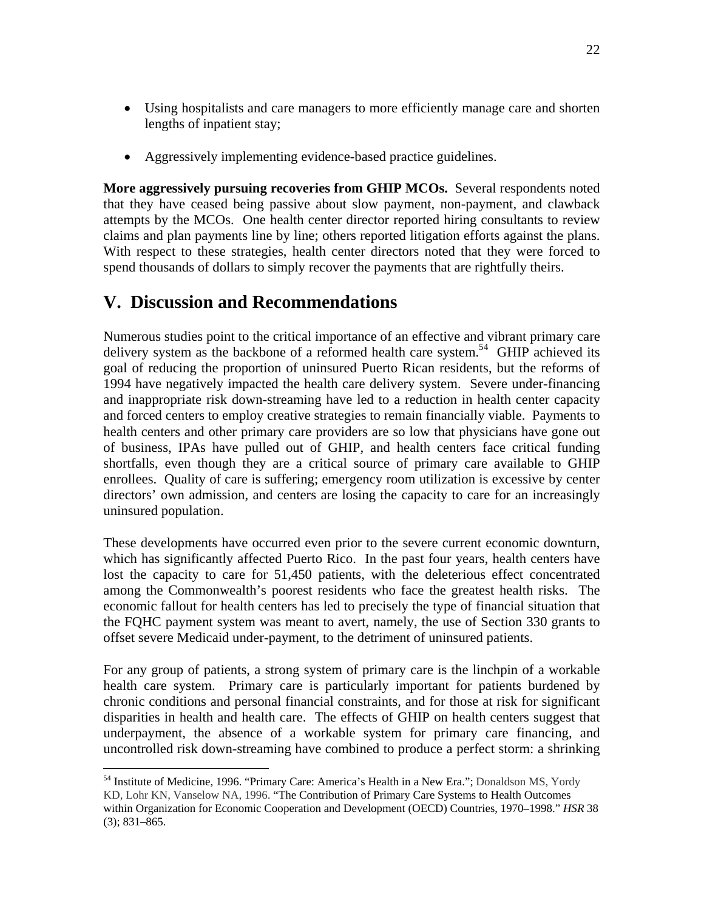- Using hospitalists and care managers to more efficiently manage care and shorten lengths of inpatient stay;
- Aggressively implementing evidence-based practice guidelines.

**More aggressively pursuing recoveries from GHIP MCOs.** Several respondents noted that they have ceased being passive about slow payment, non-payment, and clawback attempts by the MCOs. One health center director reported hiring consultants to review claims and plan payments line by line; others reported litigation efforts against the plans. With respect to these strategies, health center directors noted that they were forced to spend thousands of dollars to simply recover the payments that are rightfully theirs.

# **V. Discussion and Recommendations**

 $\overline{a}$ 

Numerous studies point to the critical importance of an effective and vibrant primary care delivery system as the backbone of a reformed health care system.<sup>54</sup> GHIP achieved its goal of reducing the proportion of uninsured Puerto Rican residents, but the reforms of 1994 have negatively impacted the health care delivery system. Severe under-financing and inappropriate risk down-streaming have led to a reduction in health center capacity and forced centers to employ creative strategies to remain financially viable. Payments to health centers and other primary care providers are so low that physicians have gone out of business, IPAs have pulled out of GHIP*,* and health centers face critical funding shortfalls, even though they are a critical source of primary care available to GHIP enrollees. Quality of care is suffering; emergency room utilization is excessive by center directors' own admission, and centers are losing the capacity to care for an increasingly uninsured population.

These developments have occurred even prior to the severe current economic downturn, which has significantly affected Puerto Rico. In the past four years, health centers have lost the capacity to care for 51,450 patients, with the deleterious effect concentrated among the Commonwealth's poorest residents who face the greatest health risks. The economic fallout for health centers has led to precisely the type of financial situation that the FQHC payment system was meant to avert, namely, the use of Section 330 grants to offset severe Medicaid under-payment, to the detriment of uninsured patients.

For any group of patients, a strong system of primary care is the linchpin of a workable health care system. Primary care is particularly important for patients burdened by chronic conditions and personal financial constraints, and for those at risk for significant disparities in health and health care. The effects of GHIP on health centers suggest that underpayment, the absence of a workable system for primary care financing, and uncontrolled risk down-streaming have combined to produce a perfect storm: a shrinking

<sup>54</sup> Institute of Medicine, 1996. "Primary Care: America's Health in a New Era."; Donaldson MS, Yordy KD, Lohr KN, Vanselow NA, 1996. "The Contribution of Primary Care Systems to Health Outcomes within Organization for Economic Cooperation and Development (OECD) Countries, 1970–1998." *HSR* 38 (3); 831–865.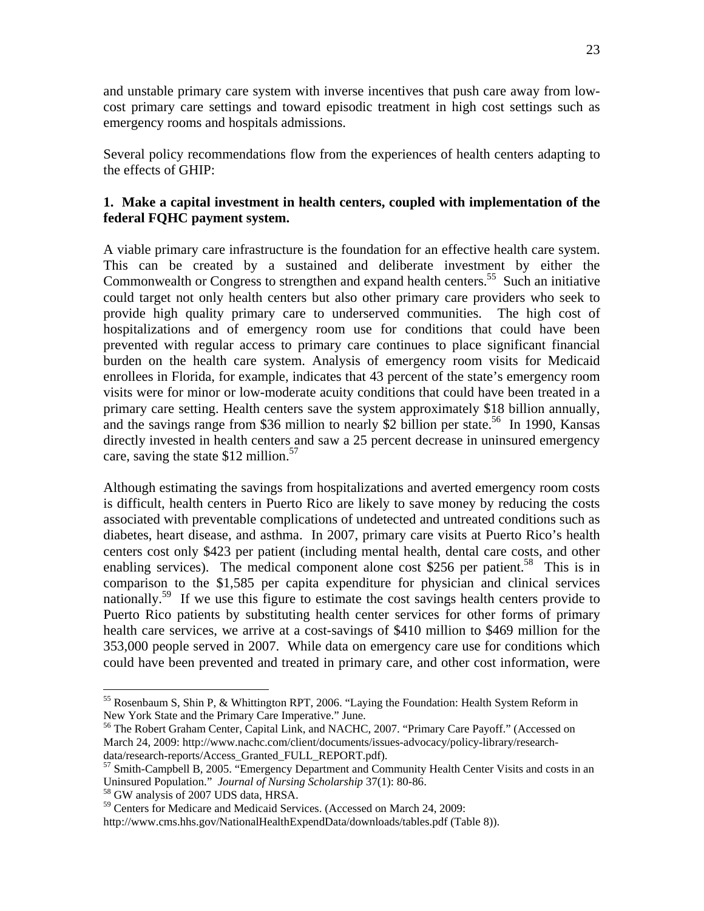and unstable primary care system with inverse incentives that push care away from lowcost primary care settings and toward episodic treatment in high cost settings such as emergency rooms and hospitals admissions.

Several policy recommendations flow from the experiences of health centers adapting to the effects of GHIP:

### **1. Make a capital investment in health centers, coupled with implementation of the federal FQHC payment system.**

A viable primary care infrastructure is the foundation for an effective health care system. This can be created by a sustained and deliberate investment by either the Commonwealth or Congress to strengthen and expand health centers.<sup>55</sup> Such an initiative could target not only health centers but also other primary care providers who seek to provide high quality primary care to underserved communities. The high cost of hospitalizations and of emergency room use for conditions that could have been prevented with regular access to primary care continues to place significant financial burden on the health care system. Analysis of emergency room visits for Medicaid enrollees in Florida, for example, indicates that 43 percent of the state's emergency room visits were for minor or low-moderate acuity conditions that could have been treated in a primary care setting. Health centers save the system approximately \$18 billion annually, and the savings range from \$36 million to nearly \$2 billion per state.<sup>56</sup> In 1990, Kansas directly invested in health centers and saw a 25 percent decrease in uninsured emergency care, saving the state  $$12$  million.<sup>57</sup>

Although estimating the savings from hospitalizations and averted emergency room costs is difficult, health centers in Puerto Rico are likely to save money by reducing the costs associated with preventable complications of undetected and untreated conditions such as diabetes, heart disease, and asthma. In 2007, primary care visits at Puerto Rico's health centers cost only \$423 per patient (including mental health, dental care costs, and other enabling services). The medical component alone cost \$256 per patient.<sup>58</sup> This is in comparison to the \$1,585 per capita expenditure for physician and clinical services nationally.<sup>59</sup> If we use this figure to estimate the cost savings health centers provide to Puerto Rico patients by substituting health center services for other forms of primary health care services, we arrive at a cost-savings of \$410 million to \$469 million for the 353,000 people served in 2007. While data on emergency care use for conditions which could have been prevented and treated in primary care, and other cost information, were

1

<sup>&</sup>lt;sup>55</sup> Rosenbaum S, Shin P, & Whittington RPT, 2006. "Laying the Foundation: Health System Reform in New York State and the Primary Care Imperative." June.

<sup>&</sup>lt;sup>56</sup> The Robert Graham Center, Capital Link, and NACHC, 2007. "Primary Care Payoff." (Accessed on March 24, 2009: http://www.nachc.com/client/documents/issues-advocacy/policy-library/research-

data/research-reports/Access\_Granted\_FULL\_REPORT.pdf).<br><sup>57</sup> Smith-Campbell B, 2005. "Emergency Department and Community Health Center Visits and costs in an Uninsured Population." *Journal of Nursing Scholarship* 37(1): 80-86. 58 GW analysis of 2007 UDS data, HRSA.

<sup>&</sup>lt;sup>59</sup> Centers for Medicare and Medicaid Services. (Accessed on March 24, 2009:

http://www.cms.hhs.gov/NationalHealthExpendData/downloads/tables.pdf (Table 8)).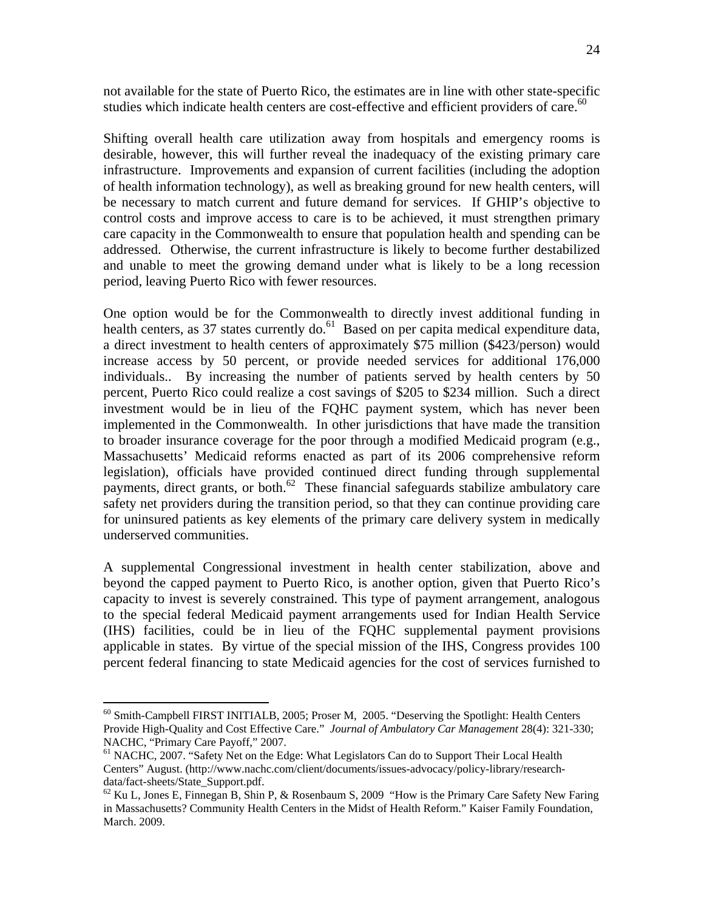not available for the state of Puerto Rico, the estimates are in line with other state-specific studies which indicate health centers are cost-effective and efficient providers of care.<sup>60</sup>

Shifting overall health care utilization away from hospitals and emergency rooms is desirable, however, this will further reveal the inadequacy of the existing primary care infrastructure. Improvements and expansion of current facilities (including the adoption of health information technology), as well as breaking ground for new health centers, will be necessary to match current and future demand for services. If GHIP's objective to control costs and improve access to care is to be achieved, it must strengthen primary care capacity in the Commonwealth to ensure that population health and spending can be addressed. Otherwise, the current infrastructure is likely to become further destabilized and unable to meet the growing demand under what is likely to be a long recession period, leaving Puerto Rico with fewer resources.

One option would be for the Commonwealth to directly invest additional funding in health centers, as 37 states currently do. $^{61}$  Based on per capita medical expenditure data, a direct investment to health centers of approximately \$75 million (\$423/person) would increase access by 50 percent, or provide needed services for additional 176,000 individuals.. By increasing the number of patients served by health centers by 50 percent, Puerto Rico could realize a cost savings of \$205 to \$234 million. Such a direct investment would be in lieu of the FQHC payment system, which has never been implemented in the Commonwealth. In other jurisdictions that have made the transition to broader insurance coverage for the poor through a modified Medicaid program (e.g., Massachusetts' Medicaid reforms enacted as part of its 2006 comprehensive reform legislation), officials have provided continued direct funding through supplemental payments, direct grants, or both.<sup>62</sup> These financial safeguards stabilize ambulatory care safety net providers during the transition period, so that they can continue providing care for uninsured patients as key elements of the primary care delivery system in medically underserved communities.

A supplemental Congressional investment in health center stabilization, above and beyond the capped payment to Puerto Rico, is another option, given that Puerto Rico's capacity to invest is severely constrained. This type of payment arrangement, analogous to the special federal Medicaid payment arrangements used for Indian Health Service (IHS) facilities, could be in lieu of the FQHC supplemental payment provisions applicable in states. By virtue of the special mission of the IHS, Congress provides 100 percent federal financing to state Medicaid agencies for the cost of services furnished to

<sup>60</sup> Smith-Campbell FIRST INITIALB, 2005; Proser M, 2005. "Deserving the Spotlight: Health Centers Provide High-Quality and Cost Effective Care." *Journal of Ambulatory Car Management* 28(4): 321-330; NACHC, "Primary Care Payoff," 2007.

<sup>&</sup>lt;sup>61</sup> NACHC, 2007. "Safety Net on the Edge: What Legislators Can do to Support Their Local Health Centers" August. (http://www.nachc.com/client/documents/issues-advocacy/policy-library/researchdata/fact-sheets/State\_Support.pdf.

 $62$  Ku L, Jones E, Finnegan B, Shin P, & Rosenbaum S, 2009 "How is the Primary Care Safety New Faring in Massachusetts? Community Health Centers in the Midst of Health Reform." Kaiser Family Foundation, March. 2009.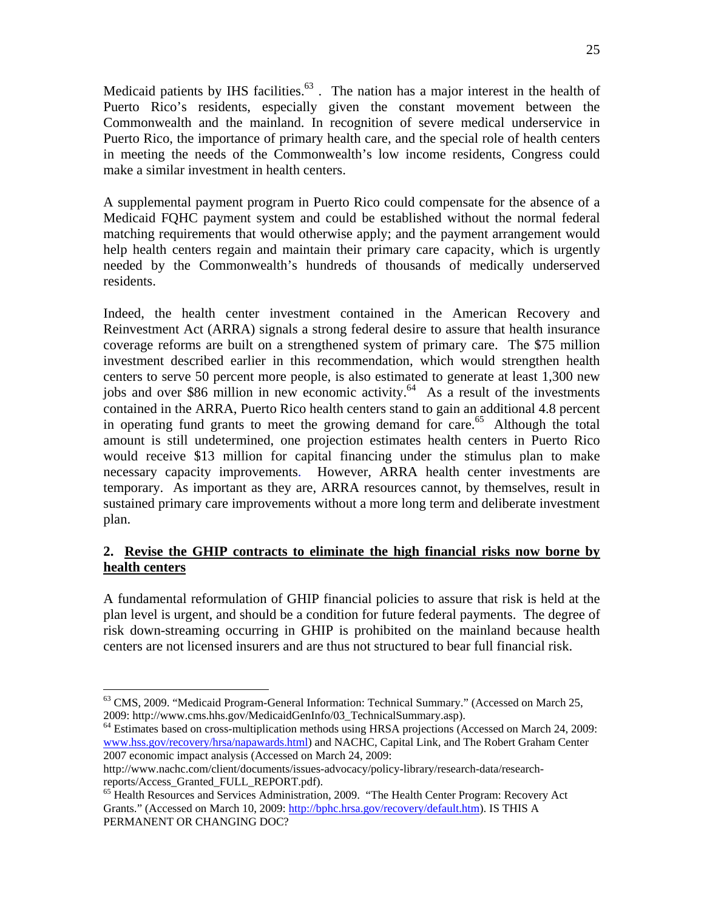Medicaid patients by IHS facilities. $63$ . The nation has a major interest in the health of Puerto Rico's residents, especially given the constant movement between the Commonwealth and the mainland. In recognition of severe medical underservice in Puerto Rico, the importance of primary health care, and the special role of health centers in meeting the needs of the Commonwealth's low income residents, Congress could make a similar investment in health centers.

A supplemental payment program in Puerto Rico could compensate for the absence of a Medicaid FQHC payment system and could be established without the normal federal matching requirements that would otherwise apply; and the payment arrangement would help health centers regain and maintain their primary care capacity, which is urgently needed by the Commonwealth's hundreds of thousands of medically underserved residents.

Indeed, the health center investment contained in the American Recovery and Reinvestment Act (ARRA) signals a strong federal desire to assure that health insurance coverage reforms are built on a strengthened system of primary care. The \$75 million investment described earlier in this recommendation, which would strengthen health centers to serve 50 percent more people, is also estimated to generate at least 1,300 new jobs and over \$86 million in new economic activity.<sup>64</sup> As a result of the investments contained in the ARRA, Puerto Rico health centers stand to gain an additional 4.8 percent in operating fund grants to meet the growing demand for care.<sup>65</sup> Although the total amount is still undetermined, one projection estimates health centers in Puerto Rico would receive \$13 million for capital financing under the stimulus plan to make necessary capacity improvements. However, ARRA health center investments are temporary. As important as they are, ARRA resources cannot, by themselves, result in sustained primary care improvements without a more long term and deliberate investment plan.

### **2. Revise the GHIP contracts to eliminate the high financial risks now borne by health centers**

A fundamental reformulation of GHIP financial policies to assure that risk is held at the plan level is urgent, and should be a condition for future federal payments. The degree of risk down-streaming occurring in GHIP is prohibited on the mainland because health centers are not licensed insurers and are thus not structured to bear full financial risk.

<sup>&</sup>lt;sup>63</sup> CMS, 2009. "Medicaid Program-General Information: Technical Summary." (Accessed on March 25, 2009: http://www.cms.hhs.gov/MedicaidGenInfo/03\_TechnicalSummary.asp).

<sup>&</sup>lt;sup>64</sup> Estimates based on cross-multiplication methods using HRSA projections (Accessed on March 24, 2009: www.hss.gov/recovery/hrsa/napawards.html) and NACHC, Capital Link, and The Robert Graham Center 2007 economic impact analysis (Accessed on March 24, 2009:

http://www.nachc.com/client/documents/issues-advocacy/policy-library/research-data/researchreports/Access\_Granted\_FULL\_REPORT.pdf).<br><sup>65</sup> Health Resources and Services Administration, 2009. "The Health Center Program: Recovery Act

Grants." (Accessed on March 10, 2009: http://bphc.hrsa.gov/recovery/default.htm). IS THIS A PERMANENT OR CHANGING DOC?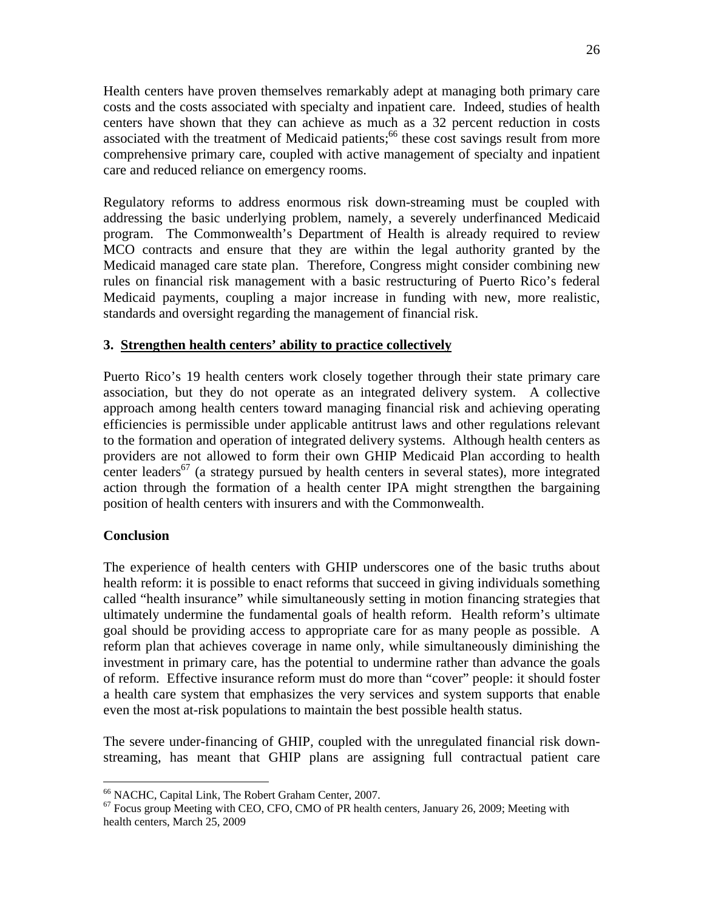Health centers have proven themselves remarkably adept at managing both primary care costs and the costs associated with specialty and inpatient care. Indeed, studies of health centers have shown that they can achieve as much as a 32 percent reduction in costs associated with the treatment of Medicaid patients;<sup>66</sup> these cost savings result from more comprehensive primary care, coupled with active management of specialty and inpatient care and reduced reliance on emergency rooms.

Regulatory reforms to address enormous risk down-streaming must be coupled with addressing the basic underlying problem, namely, a severely underfinanced Medicaid program. The Commonwealth's Department of Health is already required to review MCO contracts and ensure that they are within the legal authority granted by the Medicaid managed care state plan. Therefore, Congress might consider combining new rules on financial risk management with a basic restructuring of Puerto Rico's federal Medicaid payments, coupling a major increase in funding with new, more realistic, standards and oversight regarding the management of financial risk.

### **3. Strengthen health centers' ability to practice collectively**

Puerto Rico's 19 health centers work closely together through their state primary care association, but they do not operate as an integrated delivery system. A collective approach among health centers toward managing financial risk and achieving operating efficiencies is permissible under applicable antitrust laws and other regulations relevant to the formation and operation of integrated delivery systems. Although health centers as providers are not allowed to form their own GHIP Medicaid Plan according to health center leaders<sup>67</sup> (a strategy pursued by health centers in several states), more integrated action through the formation of a health center IPA might strengthen the bargaining position of health centers with insurers and with the Commonwealth.

#### **Conclusion**

 $\overline{a}$ 

The experience of health centers with GHIP underscores one of the basic truths about health reform: it is possible to enact reforms that succeed in giving individuals something called "health insurance" while simultaneously setting in motion financing strategies that ultimately undermine the fundamental goals of health reform. Health reform's ultimate goal should be providing access to appropriate care for as many people as possible. A reform plan that achieves coverage in name only, while simultaneously diminishing the investment in primary care, has the potential to undermine rather than advance the goals of reform. Effective insurance reform must do more than "cover" people: it should foster a health care system that emphasizes the very services and system supports that enable even the most at-risk populations to maintain the best possible health status.

The severe under-financing of GHIP*,* coupled with the unregulated financial risk downstreaming, has meant that GHIP plans are assigning full contractual patient care

<sup>66</sup> NACHC, Capital Link, The Robert Graham Center, 2007.

 $67$  Focus group Meeting with CEO, CFO, CMO of PR health centers, January 26, 2009; Meeting with health centers, March 25, 2009